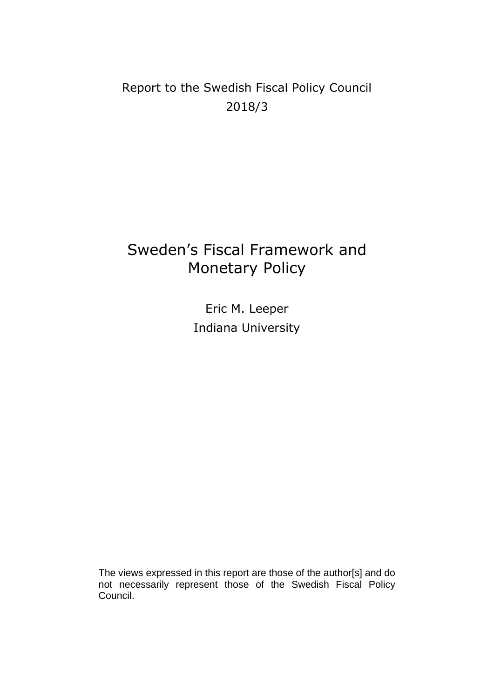## Report to the Swedish Fiscal Policy Council 2018/3

# Sweden's Fiscal Framework and Monetary Policy

Eric M. Leeper Indiana University

The views expressed in this report are those of the author[s] and do not necessarily represent those of the Swedish Fiscal Policy Council.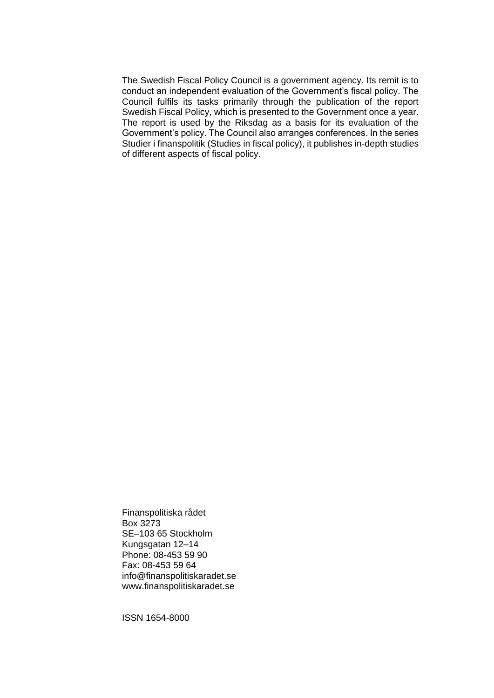The Swedish Fiscal Policy Council is a government agency. Its remit is to conduct an independent evaluation of the Government's fiscal policy. The Council fulfils its tasks primarily through the publication of the report Swedish Fiscal Policy, which is presented to the Government once a year. The report is used by the Riksdag as a basis for its evaluation of the Government's policy. The Council also arranges conferences. In the series Studier i finanspolitik (Studies in fiscal policy), it publishes in-depth studies of different aspects of fiscal policy.

Finanspolitiska rådet Box 3273 SE–103 65 Stockholm Kungsgatan 12–14 Phone: 08-453 59 90 Fax: 08-453 59 64 info@finanspolitiskaradet.se www.finanspolitiskaradet.se

ISSN 1654-8000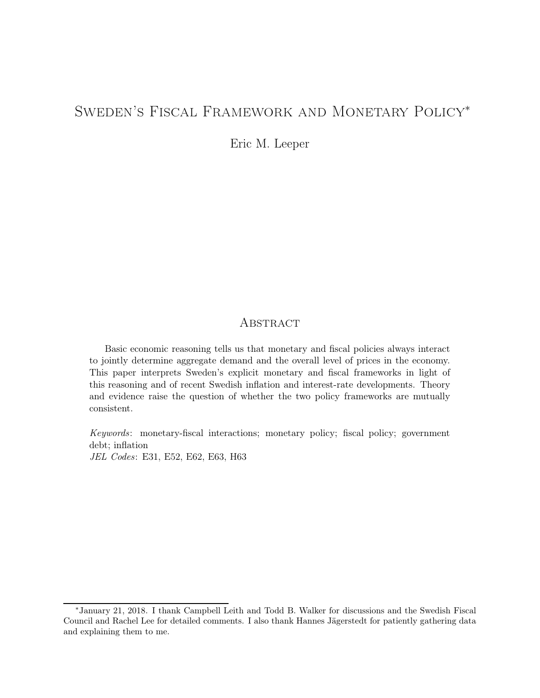## Sweden's Fiscal Framework and Monetary Policy<sup>∗</sup>

Eric M. Leeper

## **ABSTRACT**

Basic economic reasoning tells us that monetary and fiscal policies always interact to jointly determine aggregate demand and the overall level of prices in the economy. This paper interprets Sweden's explicit monetary and fiscal frameworks in light of this reasoning and of recent Swedish inflation and interest-rate developments. Theory and evidence raise the question of whether the two policy frameworks are mutually consistent.

Keywords: monetary-fiscal interactions; monetary policy; fiscal policy; government debt; inflation JEL Codes: E31, E52, E62, E63, H63

<sup>∗</sup>January 21, 2018. I thank Campbell Leith and Todd B. Walker for discussions and the Swedish Fiscal Council and Rachel Lee for detailed comments. I also thank Hannes Jägerstedt for patiently gathering data and explaining them to me.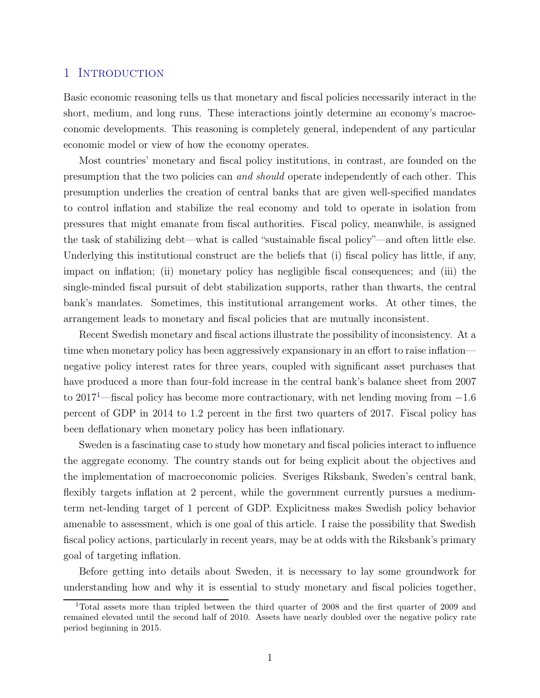### 1 INTRODUCTION

Basic economic reasoning tells us that monetary and fiscal policies necessarily interact in the short, medium, and long runs. These interactions jointly determine an economy's macroeconomic developments. This reasoning is completely general, independent of any particular economic model or view of how the economy operates.

Most countries' monetary and fiscal policy institutions, in contrast, are founded on the presumption that the two policies can and should operate independently of each other. This presumption underlies the creation of central banks that are given well-specified mandates to control inflation and stabilize the real economy and told to operate in isolation from pressures that might emanate from fiscal authorities. Fiscal policy, meanwhile, is assigned the task of stabilizing debt—what is called "sustainable fiscal policy"—and often little else. Underlying this institutional construct are the beliefs that (i) fiscal policy has little, if any, impact on inflation; (ii) monetary policy has negligible fiscal consequences; and (iii) the single-minded fiscal pursuit of debt stabilization supports, rather than thwarts, the central bank's mandates. Sometimes, this institutional arrangement works. At other times, the arrangement leads to monetary and fiscal policies that are mutually inconsistent.

Recent Swedish monetary and fiscal actions illustrate the possibility of inconsistency. At a time when monetary policy has been aggressively expansionary in an effort to raise inflation negative policy interest rates for three years, coupled with significant asset purchases that have produced a more than four-fold increase in the central bank's balance sheet from 2007 to 2017[1](#page-3-0)—fiscal policy has become more contractionary, with net lending moving from −1.6 percent of GDP in 2014 to 1.2 percent in the first two quarters of 2017. Fiscal policy has been deflationary when monetary policy has been inflationary.

Sweden is a fascinating case to study how monetary and fiscal policies interact to influence the aggregate economy. The country stands out for being explicit about the objectives and the implementation of macroeconomic policies. Sveriges Riksbank, Sweden's central bank, flexibly targets inflation at 2 percent, while the government currently pursues a mediumterm net-lending target of 1 percent of GDP. Explicitness makes Swedish policy behavior amenable to assessment, which is one goal of this article. I raise the possibility that Swedish fiscal policy actions, particularly in recent years, may be at odds with the Riksbank's primary goal of targeting inflation.

Before getting into details about Sweden, it is necessary to lay some groundwork for understanding how and why it is essential to study monetary and fiscal policies together,

<span id="page-3-0"></span><sup>&</sup>lt;sup>1</sup>Total assets more than tripled between the third quarter of 2008 and the first quarter of 2009 and remained elevated until the second half of 2010. Assets have nearly doubled over the negative policy rate period beginning in 2015.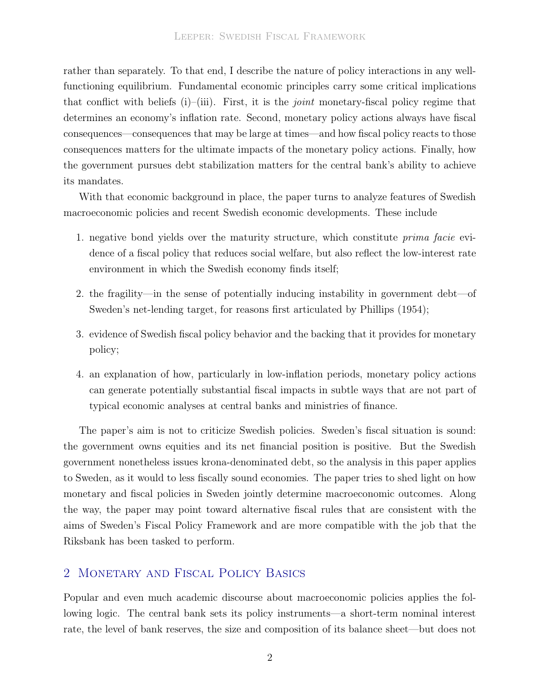rather than separately. To that end, I describe the nature of policy interactions in any wellfunctioning equilibrium. Fundamental economic principles carry some critical implications that conflict with beliefs (i)–(iii). First, it is the *joint* monetary-fiscal policy regime that determines an economy's inflation rate. Second, monetary policy actions always have fiscal consequences—consequences that may be large at times—and how fiscal policy reacts to those consequences matters for the ultimate impacts of the monetary policy actions. Finally, how the government pursues debt stabilization matters for the central bank's ability to achieve its mandates.

With that economic background in place, the paper turns to analyze features of Swedish macroeconomic policies and recent Swedish economic developments. These include

- 1. negative bond yields over the maturity structure, which constitute prima facie evidence of a fiscal policy that reduces social welfare, but also reflect the low-interest rate environment in which the Swedish economy finds itself;
- 2. the fragility—in the sense of potentially inducing instability in government debt—of Sweden's net-lending target, for reasons first articulated by [Phillips \(1954\)](#page-38-0);
- 3. evidence of Swedish fiscal policy behavior and the backing that it provides for monetary policy;
- 4. an explanation of how, particularly in low-inflation periods, monetary policy actions can generate potentially substantial fiscal impacts in subtle ways that are not part of typical economic analyses at central banks and ministries of finance.

The paper's aim is not to criticize Swedish policies. Sweden's fiscal situation is sound: the government owns equities and its net financial position is positive. But the Swedish government nonetheless issues krona-denominated debt, so the analysis in this paper applies to Sweden, as it would to less fiscally sound economies. The paper tries to shed light on how monetary and fiscal policies in Sweden jointly determine macroeconomic outcomes. Along the way, the paper may point toward alternative fiscal rules that are consistent with the aims of Sweden's Fiscal Policy Framework and are more compatible with the job that the Riksbank has been tasked to perform.

## <span id="page-4-0"></span>2 Monetary and Fiscal Policy Basics

Popular and even much academic discourse about macroeconomic policies applies the following logic. The central bank sets its policy instruments—a short-term nominal interest rate, the level of bank reserves, the size and composition of its balance sheet—but does not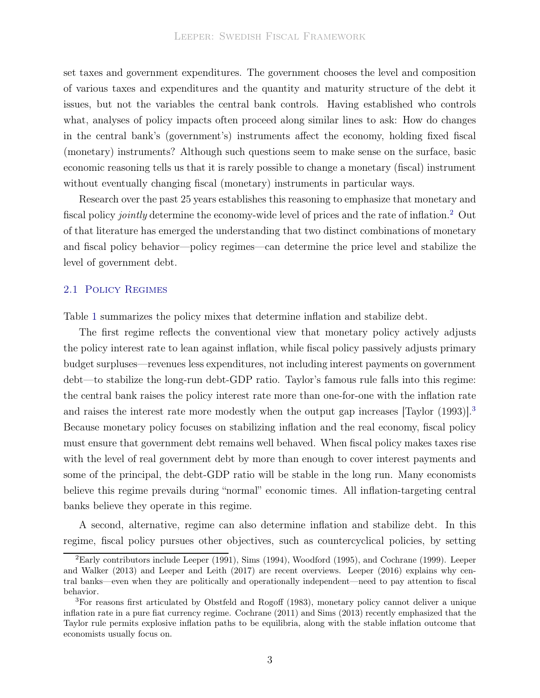set taxes and government expenditures. The government chooses the level and composition of various taxes and expenditures and the quantity and maturity structure of the debt it issues, but not the variables the central bank controls. Having established who controls what, analyses of policy impacts often proceed along similar lines to ask: How do changes in the central bank's (government's) instruments affect the economy, holding fixed fiscal (monetary) instruments? Although such questions seem to make sense on the surface, basic economic reasoning tells us that it is rarely possible to change a monetary (fiscal) instrument without eventually changing fiscal (monetary) instruments in particular ways.

Research over the past 25 years establishes this reasoning to emphasize that monetary and fiscal policy *jointly* determine the economy-wide level of prices and the rate of inflation.<sup>[2](#page-5-0)</sup> Out of that literature has emerged the understanding that two distinct combinations of monetary and fiscal policy behavior—policy regimes—can determine the price level and stabilize the level of government debt.

#### 2.1 Policy Regimes

Table [1](#page-6-0) summarizes the policy mixes that determine inflation and stabilize debt.

The first regime reflects the conventional view that monetary policy actively adjusts the policy interest rate to lean against inflation, while fiscal policy passively adjusts primary budget surpluses—revenues less expenditures, not including interest payments on government debt—to stabilize the long-run debt-GDP ratio. Taylor's famous rule falls into this regime: the central bank raises the policy interest rate more than one-for-one with the inflation rate and raises the interest rate more modestly when the output gap increases [\[Taylor \(1993](#page-38-1))].<sup>[3](#page-5-1)</sup> Because monetary policy focuses on stabilizing inflation and the real economy, fiscal policy must ensure that government debt remains well behaved. When fiscal policy makes taxes rise with the level of real government debt by more than enough to cover interest payments and some of the principal, the debt-GDP ratio will be stable in the long run. Many economists believe this regime prevails during "normal" economic times. All inflation-targeting central banks believe they operate in this regime.

A second, alternative, regime can also determine inflation and stabilize debt. In this regime, fiscal policy pursues other objectives, such as countercyclical policies, by setting

<span id="page-5-0"></span><sup>2</sup>Early c[ontributors include](#page-37-1) [Leeper \(1991](#page-37-0)[\),](#page-37-1) [Sims \(1994](#page-38-2)[\),](#page-37-1) [Woodford \(1995](#page-39-0)[\), and](#page-37-1) [Cochrane](#page-36-0)[\(1999](#page-36-0)[\).](#page-37-1) Leeper and Walker [\(2013](#page-37-1)) and [Leeper and Leith \(2017\)](#page-37-2) are recent overviews. [Leeper \(2016](#page-37-3)) explains why central banks—even when they are politically and operationally independent—need to pay attention to fiscal behavior.

<span id="page-5-1"></span><sup>3</sup>For reasons first articulated by [Obstfeld and Rogoff \(1983](#page-38-3)), monetary policy cannot deliver a unique inflation rate in a pure fiat currency regime. [Cochrane](#page-36-1) [\(2011\)](#page-36-1) and [Sims \(2013\)](#page-38-4) recently emphasized that the Taylor rule permits explosive inflation paths to be equilibria, along with the stable inflation outcome that economists usually focus on.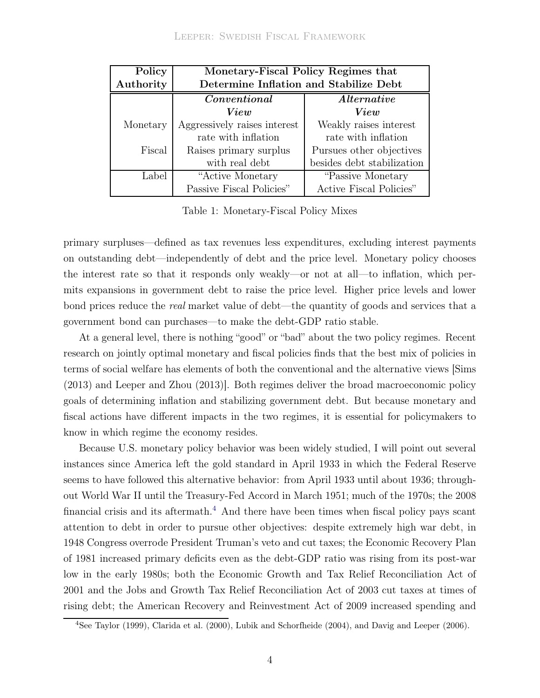<span id="page-6-0"></span>

| Policy    | Monetary-Fiscal Policy Regimes that    |                            |  |  |
|-----------|----------------------------------------|----------------------------|--|--|
| Authority | Determine Inflation and Stabilize Debt |                            |  |  |
|           | Conventional                           | <i>Alternative</i>         |  |  |
|           | View                                   | View                       |  |  |
| Monetary  | Aggressively raises interest           | Weakly raises interest     |  |  |
|           | rate with inflation                    | rate with inflation        |  |  |
| Fiscal    | Raises primary surplus                 | Pursues other objectives   |  |  |
|           | with real debt                         | besides debt stabilization |  |  |
| Label     | "Active Monetary                       | "Passive Monetary"         |  |  |
|           | Passive Fiscal Policies"               | Active Fiscal Policies"    |  |  |

Table 1: Monetary-Fiscal Policy Mixes

primary surpluses—defined as tax revenues less expenditures, excluding interest payments on outstanding debt—independently of debt and the price level. Monetary policy chooses the interest rate so that it responds only weakly—or not at all—to inflation, which permits expansions in government debt to raise the price level. Higher price levels and lower bond prices reduce the real market value of debt—the quantity of goods and services that a government bond can purchases—to make the debt-GDP ratio stable.

At a general level, there is nothing "good" or "bad" about the two policy regimes. Recent research on jointly optimal monetary and fiscal policies finds that the best mix of policies in terms of social welfare has elements of both the conventional and the alternative views [\[Sims](#page-38-4) [\(2013](#page-38-4)) and [Leeper and Zhou \(2013](#page-37-4))]. Both regimes deliver the broad macroeconomic policy goals of determining inflation and stabilizing government debt. But because monetary and fiscal actions have different impacts in the two regimes, it is essential for policymakers to know in which regime the economy resides.

Because U.S. monetary policy behavior was been widely studied, I will point out several instances since America left the gold standard in April 1933 in which the Federal Reserve seems to have followed this alternative behavior: from April 1933 until about 1936; throughout World War II until the Treasury-Fed Accord in March 1951; much of the 1970s; the 2008 financial crisis and its aftermath.<sup>[4](#page-6-1)</sup> And there have been times when fiscal policy pays scant attention to debt in order to pursue other objectives: despite extremely high war debt, in 1948 Congress overrode President Truman's veto and cut taxes; the Economic Recovery Plan of 1981 increased primary deficits even as the debt-GDP ratio was rising from its post-war low in the early 1980s; both the Economic Growth and Tax Relief Reconciliation Act of 2001 and the Jobs and Growth Tax Relief Reconciliation Act of 2003 cut taxes at times of rising debt; the American Recovery and Reinvestment Act of 2009 increased spending and

<span id="page-6-1"></span><sup>4</sup>See [Taylor \(1999\)](#page-38-5), [Clarida et al. \(2000\)](#page-36-2), [Lubik and Schorfheide \(2004\)](#page-37-5), and [Davig and Leeper \(2006](#page-36-3)).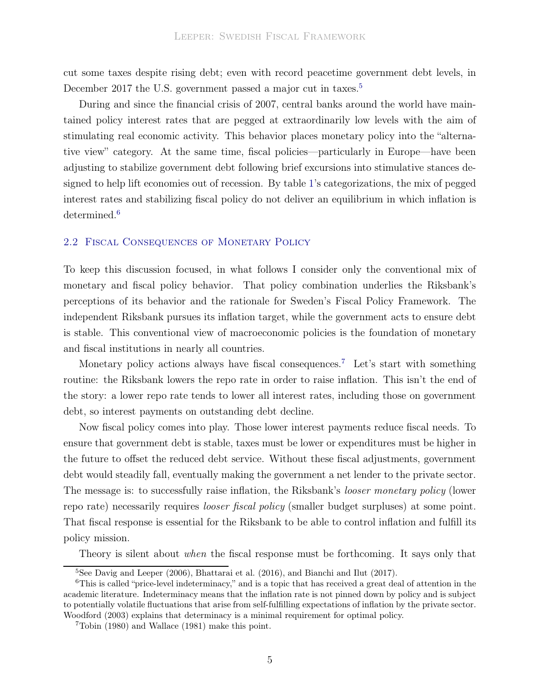cut some taxes despite rising debt; even with record peacetime government debt levels, in December 2017 the U.S. government passed a major cut in taxes.<sup>[5](#page-7-0)</sup>

During and since the financial crisis of 2007, central banks around the world have maintained policy interest rates that are pegged at extraordinarily low levels with the aim of stimulating real economic activity. This behavior places monetary policy into the "alternative view" category. At the same time, fiscal policies—particularly in Europe—have been adjusting to stabilize government debt following brief excursions into stimulative stances designed to help lift economies out of recession. By table [1'](#page-6-0)s categorizations, the mix of pegged interest rates and stabilizing fiscal policy do not deliver an equilibrium in which inflation is determined.<sup>[6](#page-7-1)</sup>

#### 2.2 Fiscal Consequences of Monetary Policy

To keep this discussion focused, in what follows I consider only the conventional mix of monetary and fiscal policy behavior. That policy combination underlies the Riksbank's perceptions of its behavior and the rationale for Sweden's Fiscal Policy Framework. The independent Riksbank pursues its inflation target, while the government acts to ensure debt is stable. This conventional view of macroeconomic policies is the foundation of monetary and fiscal institutions in nearly all countries.

Monetary policy actions always have fiscal consequences.<sup>[7](#page-7-2)</sup> Let's start with something routine: the Riksbank lowers the repo rate in order to raise inflation. This isn't the end of the story: a lower repo rate tends to lower all interest rates, including those on government debt, so interest payments on outstanding debt decline.

Now fiscal policy comes into play. Those lower interest payments reduce fiscal needs. To ensure that government debt is stable, taxes must be lower or expenditures must be higher in the future to offset the reduced debt service. Without these fiscal adjustments, government debt would steadily fall, eventually making the government a net lender to the private sector. The message is: to successfully raise inflation, the Riksbank's *looser monetary policy* (lower repo rate) necessarily requires looser fiscal policy (smaller budget surpluses) at some point. That fiscal response is essential for the Riksbank to be able to control inflation and fulfill its policy mission.

Theory is silent about *when* the fiscal response must be forthcoming. It says only that

<span id="page-7-0"></span><sup>5</sup>See [Davig and Leeper \(2006](#page-36-3)), [Bhattarai et al. \(2016\)](#page-36-4), and [Bianchi and Ilut \(2017](#page-36-5)).

<span id="page-7-1"></span><sup>6</sup>This is called "price-level indeterminacy," and is a topic that has received a great deal of attention in the academic literature. Indeterminacy means that the inflation rate is not pinned down by policy and is subject to potentially volatile fluctuations that arise from self-fulfilling expectations of inflation by the private sector. [Woodford \(2003](#page-39-1)) explains that determinacy is a minimal requirement for optimal policy.

<span id="page-7-2"></span><sup>7</sup>[Tobin \(1980](#page-38-6)) and [Wallace \(1981\)](#page-39-2) make this point.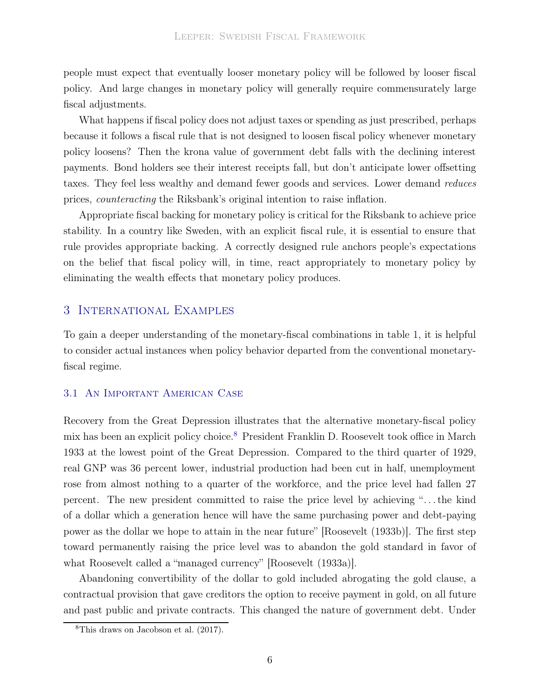people must expect that eventually looser monetary policy will be followed by looser fiscal policy. And large changes in monetary policy will generally require commensurately large fiscal adjustments.

What happens if fiscal policy does not adjust taxes or spending as just prescribed, perhaps because it follows a fiscal rule that is not designed to loosen fiscal policy whenever monetary policy loosens? Then the krona value of government debt falls with the declining interest payments. Bond holders see their interest receipts fall, but don't anticipate lower offsetting taxes. They feel less wealthy and demand fewer goods and services. Lower demand reduces prices, counteracting the Riksbank's original intention to raise inflation.

Appropriate fiscal backing for monetary policy is critical for the Riksbank to achieve price stability. In a country like Sweden, with an explicit fiscal rule, it is essential to ensure that rule provides appropriate backing. A correctly designed rule anchors people's expectations on the belief that fiscal policy will, in time, react appropriately to monetary policy by eliminating the wealth effects that monetary policy produces.

#### 3 International Examples

To gain a deeper understanding of the monetary-fiscal combinations in table [1,](#page-6-0) it is helpful to consider actual instances when policy behavior departed from the conventional monetaryfiscal regime.

#### 3.1 An Important American Case

Recovery from the Great Depression illustrates that the alternative monetary-fiscal policy mix has been an explicit policy choice.[8](#page-8-0) President Franklin D. Roosevelt took office in March 1933 at the lowest point of the Great Depression. Compared to the third quarter of 1929, real GNP was 36 percent lower, industrial production had been cut in half, unemployment rose from almost nothing to a quarter of the workforce, and the price level had fallen 27 percent. The new president committed to raise the price level by achieving ". . . the kind of a dollar which a generation hence will have the same purchasing power and debt-paying power as the dollar we hope to attain in the near future" [\[Roosevelt \(1933b](#page-38-7))]. The first step toward permanently raising the price level was to abandon the gold standard in favor of what Roosevelt called a "managed currency" [\[Roosevelt \(1933a\)](#page-38-8)].

Abandoning convertibility of the dollar to gold included abrogating the gold clause, a contractual provision that gave creditors the option to receive payment in gold, on all future and past public and private contracts. This changed the nature of government debt. Under

<span id="page-8-0"></span><sup>8</sup>This draws on [Jacobson et al. \(2017](#page-37-6)).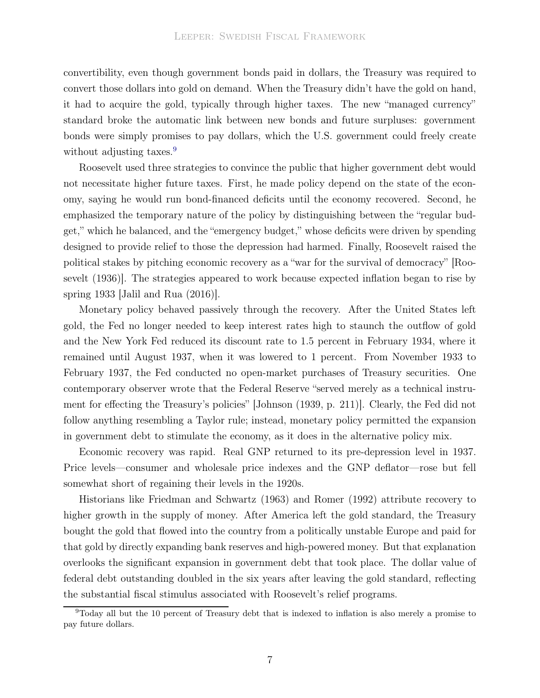convertibility, even though government bonds paid in dollars, the Treasury was required to convert those dollars into gold on demand. When the Treasury didn't have the gold on hand, it had to acquire the gold, typically through higher taxes. The new "managed currency" standard broke the automatic link between new bonds and future surpluses: government bonds were simply promises to pay dollars, which the U.S. government could freely create without adjusting taxes.<sup>[9](#page-9-0)</sup>

Roosevelt used three strategies to convince the public that higher government debt would not necessitate higher future taxes. First, he made policy depend on the state of the economy, saying he would run bond-financed deficits until the economy recovered. Second, he emphasized the temporary nature of the policy by distinguishing between the "regular budget," which he balanced, and the "emergency budget," whose deficits were driven by spending designed to provide relief to those the depression had harmed. Finally, Roosevelt raised the politi[cal stakes by pitching economic recovery as a "war for](#page-38-9) the survival of democracy" [Roosevelt [\(1936\)](#page-38-9)]. The strategies appeared to work because expected inflation began to rise by spring 1933 [\[Jalil and Rua \(2016\)](#page-37-7)].

Monetary policy behaved passively through the recovery. After the United States left gold, the Fed no longer needed to keep interest rates high to staunch the outflow of gold and the New York Fed reduced its discount rate to 1.5 percent in February 1934, where it remained until August 1937, when it was lowered to 1 percent. From November 1933 to February 1937, the Fed conducted no open-market purchases of Treasury securities. One contemporary observer wrote that the Federal Reserve "served merely as a technical instrument for effecting the Treasury's policies" [\[Johnson \(1939,](#page-37-8) p. 211)]. Clearly, the Fed did not follow anything resembling a Taylor rule; instead, monetary policy permitted the expansion in government debt to stimulate the economy, as it does in the alternative policy mix.

Economic recovery was rapid. Real GNP returned to its pre-depression level in 1937. Price levels—consumer and wholesale price indexes and the GNP deflator—rose but fell somewhat short of regaining their levels in the 1920s.

Historians like [Friedman and Schwartz \(1963\)](#page-36-6) and [Romer \(1992](#page-38-10)) attribute recovery to higher growth in the supply of money. After America left the gold standard, the Treasury bought the gold that flowed into the country from a politically unstable Europe and paid for that gold by directly expanding bank reserves and high-powered money. But that explanation overlooks the significant expansion in government debt that took place. The dollar value of federal debt outstanding doubled in the six years after leaving the gold standard, reflecting the substantial fiscal stimulus associated with Roosevelt's relief programs.

<span id="page-9-0"></span><sup>9</sup>Today all but the 10 percent of Treasury debt that is indexed to inflation is also merely a promise to pay future dollars.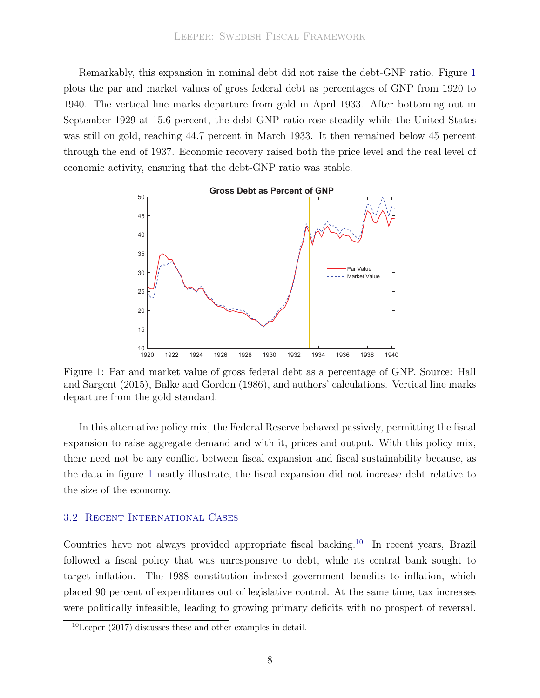Remarkably, this expansion in nominal debt did not raise the debt-GNP ratio. Figure [1](#page-10-0) plots the par and market values of gross federal debt as percentages of GNP from 1920 to 1940. The vertical line marks departure from gold in April 1933. After bottoming out in September 1929 at 15.6 percent, the debt-GNP ratio rose steadily while the United States was still on gold, reaching 44.7 percent in March 1933. It then remained below 45 percent through the end of 1937. Economic recovery raised both the price level and the real level of economic activity, ensuring that the debt-GNP ratio was stable.

<span id="page-10-0"></span>

Figure 1: P[ar and market value of gross federal debt as a percentage of GNP. Source:](#page-37-9) Hall and Sargent [\(2015](#page-37-9)), [Balke and Gordon \(1986\)](#page-36-7), and authors' calculations. Vertical line marks departure from the gold standard.

In this alternative policy mix, the Federal Reserve behaved passively, permitting the fiscal expansion to raise aggregate demand and with it, prices and output. With this policy mix, there need not be any conflict between fiscal expansion and fiscal sustainability because, as the data in figure [1](#page-10-0) neatly illustrate, the fiscal expansion did not increase debt relative to the size of the economy.

#### 3.2 Recent International Cases

Countries have not always provided appropriate fiscal backing.[10](#page-10-1) In recent years, Brazil followed a fiscal policy that was unresponsive to debt, while its central bank sought to target inflation. The 1988 constitution indexed government benefits to inflation, which placed 90 percent of expenditures out of legislative control. At the same time, tax increases were politically infeasible, leading to growing primary deficits with no prospect of reversal.

<span id="page-10-1"></span> $10$ [Leeper \(2017\)](#page-37-10) discusses these and other examples in detail.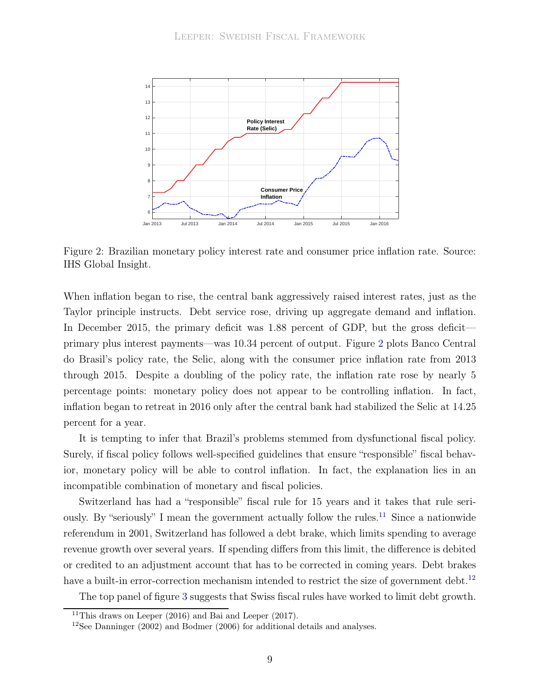<span id="page-11-0"></span>

Figure 2: Brazilian monetary policy interest rate and consumer price inflation rate. Source: IHS Global Insight.

When inflation began to rise, the central bank aggressively raised interest rates, just as the Taylor principle instructs. Debt service rose, driving up aggregate demand and inflation. In December 2015, the primary deficit was 1.88 percent of GDP, but the gross deficit primary plus interest payments—was 10.34 percent of output. Figure [2](#page-11-0) plots Banco Central do Brasil's policy rate, the Selic, along with the consumer price inflation rate from 2013 through 2015. Despite a doubling of the policy rate, the inflation rate rose by nearly 5 percentage points: monetary policy does not appear to be controlling inflation. In fact, inflation began to retreat in 2016 only after the central bank had stabilized the Selic at 14.25 percent for a year.

It is tempting to infer that Brazil's problems stemmed from dysfunctional fiscal policy. Surely, if fiscal policy follows well-specified guidelines that ensure "responsible" fiscal behavior, monetary policy will be able to control inflation. In fact, the explanation lies in an incompatible combination of monetary and fiscal policies.

Switzerland has had a "responsible" fiscal rule for 15 years and it takes that rule seri-ously. By "seriously" I mean the government actually follow the rules.<sup>[11](#page-11-1)</sup> Since a nationwide referendum in 2001, Switzerland has followed a debt brake, which limits spending to average revenue growth over several years. If spending differs from this limit, the difference is debited or credited to an adjustment account that has to be corrected in coming years. Debt brakes have a built-in error-correction mechanism intended to restrict the size of government debt.<sup>[12](#page-11-2)</sup>

The top panel of figure [3](#page-12-0) suggests that Swiss fiscal rules have worked to limit debt growth.

<sup>&</sup>lt;sup>11</sup>This draws on [Leeper](#page-37-3)  $(2016)$  and Bai and Leeper  $(2017)$ .

<span id="page-11-2"></span><span id="page-11-1"></span><sup>&</sup>lt;sup>12</sup>See [Danninger \(2002](#page-36-9)) and [Bodmer \(2006](#page-36-10)) for additional details and analyses.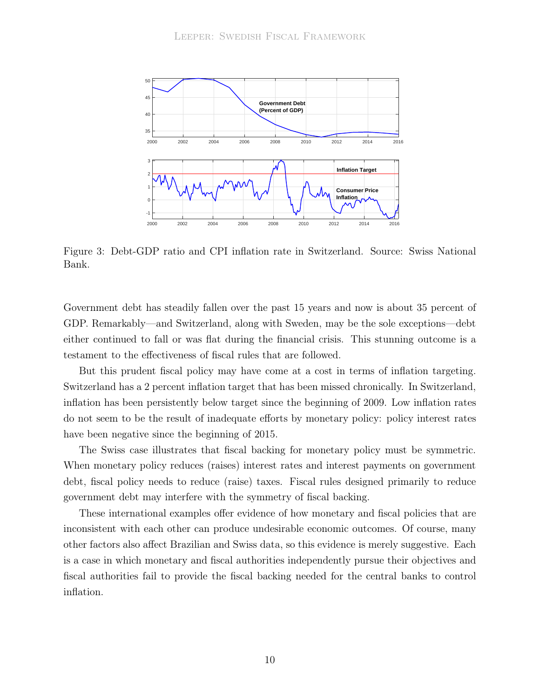<span id="page-12-0"></span>

Figure 3: Debt-GDP ratio and CPI inflation rate in Switzerland. Source: Swiss National Bank.

Government debt has steadily fallen over the past 15 years and now is about 35 percent of GDP. Remarkably—and Switzerland, along with Sweden, may be the sole exceptions—debt either continued to fall or was flat during the financial crisis. This stunning outcome is a testament to the effectiveness of fiscal rules that are followed.

But this prudent fiscal policy may have come at a cost in terms of inflation targeting. Switzerland has a 2 percent inflation target that has been missed chronically. In Switzerland, inflation has been persistently below target since the beginning of 2009. Low inflation rates do not seem to be the result of inadequate efforts by monetary policy: policy interest rates have been negative since the beginning of 2015.

The Swiss case illustrates that fiscal backing for monetary policy must be symmetric. When monetary policy reduces (raises) interest rates and interest payments on government debt, fiscal policy needs to reduce (raise) taxes. Fiscal rules designed primarily to reduce government debt may interfere with the symmetry of fiscal backing.

<span id="page-12-1"></span>These international examples offer evidence of how monetary and fiscal policies that are inconsistent with each other can produce undesirable economic outcomes. Of course, many other factors also affect Brazilian and Swiss data, so this evidence is merely suggestive. Each is a case in which monetary and fiscal authorities independently pursue their objectives and fiscal authorities fail to provide the fiscal backing needed for the central banks to control inflation.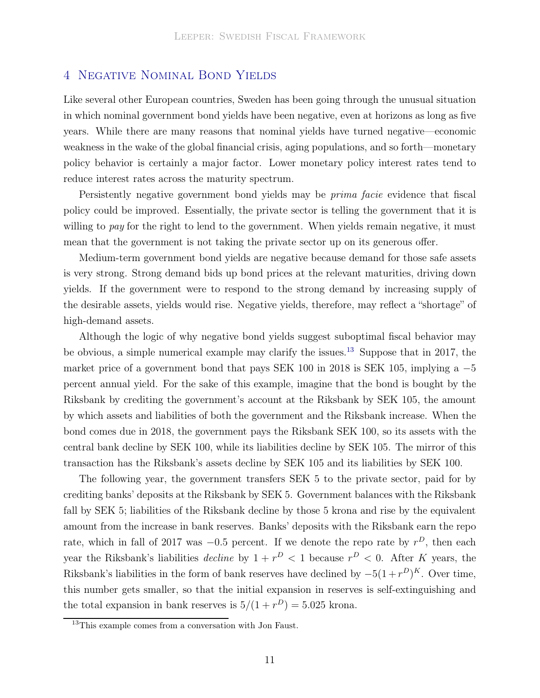### 4 Negative Nominal Bond Yields

Like several other European countries, Sweden has been going through the unusual situation in which nominal government bond yields have been negative, even at horizons as long as five years. While there are many reasons that nominal yields have turned negative—economic weakness in the wake of the global financial crisis, aging populations, and so forth—monetary policy behavior is certainly a major factor. Lower monetary policy interest rates tend to reduce interest rates across the maturity spectrum.

Persistently negative government bond yields may be *prima facie* evidence that fiscal policy could be improved. Essentially, the private sector is telling the government that it is willing to pay for the right to lend to the government. When yields remain negative, it must mean that the government is not taking the private sector up on its generous offer.

Medium-term government bond yields are negative because demand for those safe assets is very strong. Strong demand bids up bond prices at the relevant maturities, driving down yields. If the government were to respond to the strong demand by increasing supply of the desirable assets, yields would rise. Negative yields, therefore, may reflect a "shortage" of high-demand assets.

Although the logic of why negative bond yields suggest suboptimal fiscal behavior may be obvious, a simple numerical example may clarify the issues.[13](#page-13-0) Suppose that in 2017, the market price of a government bond that pays SEK 100 in 2018 is SEK 105, implying a  $-5$ percent annual yield. For the sake of this example, imagine that the bond is bought by the Riksbank by crediting the government's account at the Riksbank by SEK 105, the amount by which assets and liabilities of both the government and the Riksbank increase. When the bond comes due in 2018, the government pays the Riksbank SEK 100, so its assets with the central bank decline by SEK 100, while its liabilities decline by SEK 105. The mirror of this transaction has the Riksbank's assets decline by SEK 105 and its liabilities by SEK 100.

The following year, the government transfers SEK 5 to the private sector, paid for by crediting banks' deposits at the Riksbank by SEK 5. Government balances with the Riksbank fall by SEK 5; liabilities of the Riksbank decline by those 5 krona and rise by the equivalent amount from the increase in bank reserves. Banks' deposits with the Riksbank earn the repo rate, which in fall of 2017 was  $-0.5$  percent. If we denote the repo rate by  $r<sup>D</sup>$ , then each year the Riksbank's liabilities *decline* by  $1 + r^D < 1$  because  $r^D < 0$ . After K years, the Riksbank's liabilities in the form of bank reserves have declined by  $-5(1+r^D)^K$ . Over time, this number gets smaller, so that the initial expansion in reserves is self-extinguishing and the total expansion in bank reserves is  $5/(1+r^D) = 5.025$  krona.

<span id="page-13-0"></span><sup>13</sup>This example comes from a conversation with Jon Faust.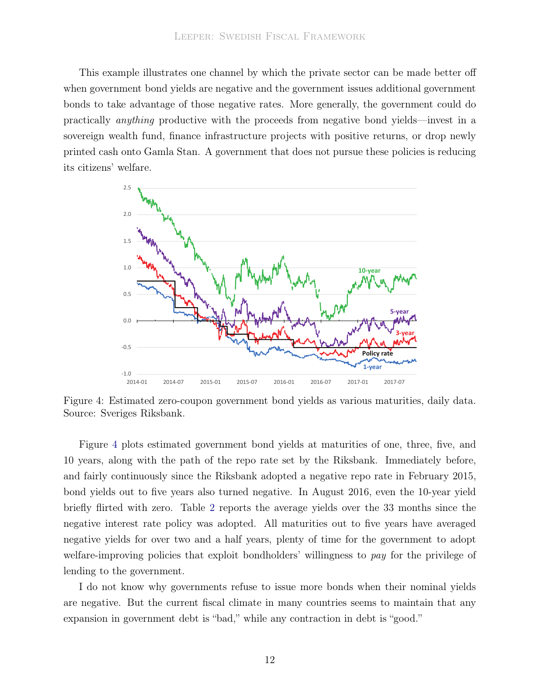This example illustrates one channel by which the private sector can be made better off when government bond yields are negative and the government issues additional government bonds to take advantage of those negative rates. More generally, the government could do practically anything productive with the proceeds from negative bond yields—invest in a sovereign wealth fund, finance infrastructure projects with positive returns, or drop newly printed cash onto Gamla Stan. A government that does not pursue these policies is reducing its citizens' welfare.

<span id="page-14-0"></span>

Figure 4: Estimated zero-coupon government bond yields as various maturities, daily data. Source: Sveriges Riksbank.

Figure [4](#page-14-0) plots estimated government bond yields at maturities of one, three, five, and 10 years, along with the path of the repo rate set by the Riksbank. Immediately before, and fairly continuously since the Riksbank adopted a negative repo rate in February 2015, bond yields out to five years also turned negative. In August 2016, even the 10-year yield briefly flirted with zero. Table [2](#page-15-0) reports the average yields over the 33 months since the negative interest rate policy was adopted. All maturities out to five years have averaged negative yields for over two and a half years, plenty of time for the government to adopt welfare-improving policies that exploit bondholders' willingness to pay for the privilege of lending to the government.

I do not know why governments refuse to issue more bonds when their nominal yields are negative. But the current fiscal climate in many countries seems to maintain that any expansion in government debt is "bad," while any contraction in debt is "good."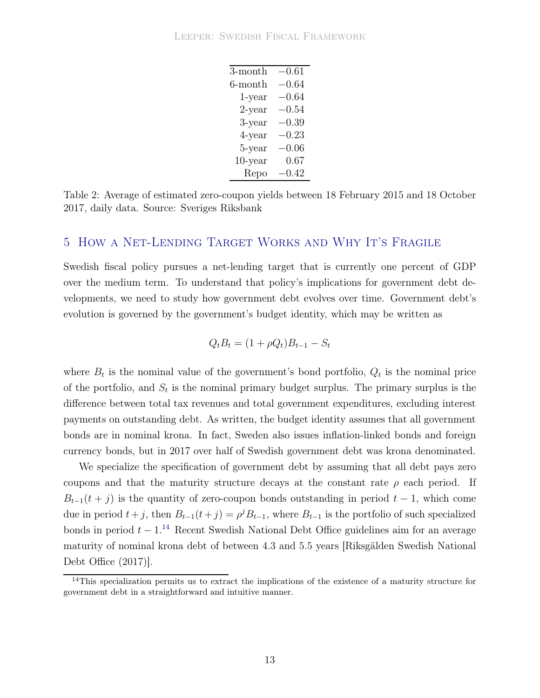| 3-month    | $-0.61$   |
|------------|-----------|
| 6-month    | $-0.64\,$ |
| 1-year     | $-0.64$   |
| $2$ -year  | $-0.54$   |
| 3-year     | $-0.39\,$ |
| 4-year     | $-0.23$   |
| 5-year     | $-0.06$   |
| $10$ -year | 0.67      |
| Repo       | $-0.42\,$ |

<span id="page-15-0"></span>Table 2: Average of estimated zero-coupon yields between 18 February 2015 and 18 October 2017, daily data. Source: Sveriges Riksbank

## 5 How a Net-Lending Target Works and Why It's Fragile

Swedish fiscal policy pursues a net-lending target that is currently one percent of GDP over the medium term. To understand that policy's implications for government debt developments, we need to study how government debt evolves over time. Government debt's evolution is governed by the government's budget identity, which may be written as

$$
Q_t B_t = (1 + \rho Q_t) B_{t-1} - S_t
$$

where  $B_t$  is the nominal value of the government's bond portfolio,  $Q_t$  is the nominal price of the portfolio, and  $S_t$  is the nominal primary budget surplus. The primary surplus is the difference between total tax revenues and total government expenditures, excluding interest payments on outstanding debt. As written, the budget identity assumes that all government bonds are in nominal krona. In fact, Sweden also issues inflation-linked bonds and foreign currency bonds, but in 2017 over half of Swedish government debt was krona denominated.

We specialize the specification of government debt by assuming that all debt pays zero coupons and that the maturity structure decays at the constant rate  $\rho$  each period. If  $B_{t-1}(t + j)$  is the quantity of zero-coupon bonds outstanding in period  $t - 1$ , which come due in period  $t+j$ , then  $B_{t-1}(t+j) = \rho^{j} B_{t-1}$ , where  $B_{t-1}$  is the portfolio of such specialized bonds in period  $t - 1$ <sup>[14](#page-15-1)</sup> Recent Swedish National Debt Office guidelines aim for an average maturity o[f nominal krona debt of between 4.3 and 5.5 years \[](#page-38-11)Riksgälden Swedish National Debt Office [\(2017](#page-38-11))].

<span id="page-15-1"></span><sup>&</sup>lt;sup>14</sup>This specialization permits us to extract the implications of the existence of a maturity structure for government debt in a straightforward and intuitive manner.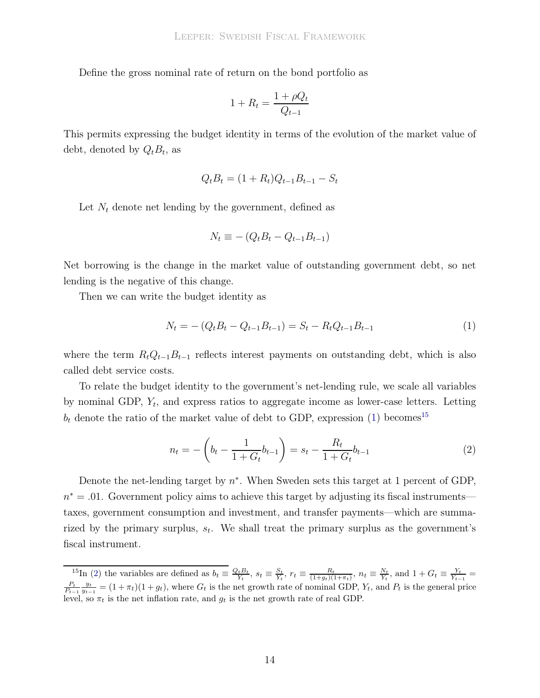Define the gross nominal rate of return on the bond portfolio as

$$
1 + R_t = \frac{1 + \rho Q_t}{Q_{t-1}}
$$

This permits expressing the budget identity in terms of the evolution of the market value of debt, denoted by  $Q_t B_t$ , as

$$
Q_t B_t = (1 + R_t)Q_{t-1}B_{t-1} - S_t
$$

Let  $N_t$  denote net lending by the government, defined as

$$
N_t \equiv -\left(Q_t B_t - Q_{t-1} B_{t-1}\right)
$$

Net borrowing is the change in the market value of outstanding government debt, so net lending is the negative of this change.

Then we can write the budget identity as

<span id="page-16-0"></span>
$$
N_t = - (Q_t B_t - Q_{t-1} B_{t-1}) = S_t - R_t Q_{t-1} B_{t-1}
$$
\n<sup>(1)</sup>

where the term  $R_tQ_{t-1}B_{t-1}$  reflects interest payments on outstanding debt, which is also called debt service costs.

To relate the budget identity to the government's net-lending rule, we scale all variables by nominal GDP,  $Y_t$ , and express ratios to aggregate income as lower-case letters. Letting  $b_t$  denote the ratio of the market value of debt to GDP, expression [\(1\)](#page-16-0) becomes<sup>[15](#page-16-1)</sup>

<span id="page-16-2"></span>
$$
n_t = -\left(b_t - \frac{1}{1 + G_t}b_{t-1}\right) = s_t - \frac{R_t}{1 + G_t}b_{t-1}
$$
\n(2)

Denote the net-lending target by  $n^*$ . When Sweden sets this target at 1 percent of GDP,  $n^* = .01$ . Government policy aims to achieve this target by adjusting its fiscal instruments taxes, government consumption and investment, and transfer payments—which are summarized by the primary surplus,  $s_t$ . We shall treat the primary surplus as the government's fiscal instrument.

<span id="page-16-1"></span><sup>&</sup>lt;sup>15</sup>In [\(2\)](#page-16-2) the variables are defined as  $b_t \equiv \frac{Q_t B_t}{Y_t}$ ,  $s_t \equiv \frac{S_t}{Y_t}$ ,  $r_t \equiv \frac{R_t}{(1+g_t)(1+\pi_t)}$ ,  $n_t \equiv \frac{N_t}{Y_t}$ , and  $1+G_t \equiv \frac{Y_t}{Y_{t-1}} =$  $\frac{P_t}{P_{t-1}} \frac{y_t}{y_{t-1}} = (1 + \pi_t)(1 + g_t)$ , where  $G_t$  is the net growth rate of nominal GDP,  $Y_t$ , and  $P_t$  is the general price level, so  $\pi_t$  is the net inflation rate, and  $g_t$  is the net growth rate of real GDP.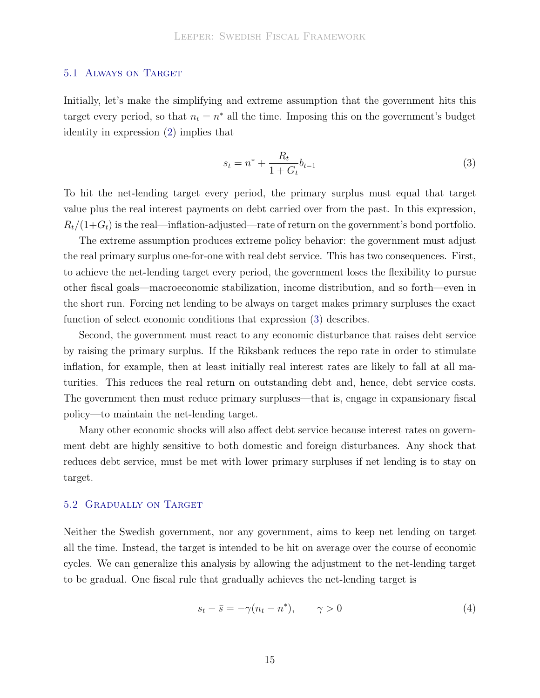#### 5.1 Always on Target

Initially, let's make the simplifying and extreme assumption that the government hits this target every period, so that  $n_t = n^*$  all the time. Imposing this on the government's budget identity in expression [\(2\)](#page-16-2) implies that

<span id="page-17-0"></span>
$$
s_t = n^* + \frac{R_t}{1 + G_t} b_{t-1}
$$
\n(3)

To hit the net-lending target every period, the primary surplus must equal that target value plus the real interest payments on debt carried over from the past. In this expression,  $R_t/(1+G_t)$  is the real—inflation-adjusted—rate of return on the government's bond portfolio.

The extreme assumption produces extreme policy behavior: the government must adjust the real primary surplus one-for-one with real debt service. This has two consequences. First, to achieve the net-lending target every period, the government loses the flexibility to pursue other fiscal goals—macroeconomic stabilization, income distribution, and so forth—even in the short run. Forcing net lending to be always on target makes primary surpluses the exact function of select economic conditions that expression [\(3\)](#page-17-0) describes.

Second, the government must react to any economic disturbance that raises debt service by raising the primary surplus. If the Riksbank reduces the repo rate in order to stimulate inflation, for example, then at least initially real interest rates are likely to fall at all maturities. This reduces the real return on outstanding debt and, hence, debt service costs. The government then must reduce primary surpluses—that is, engage in expansionary fiscal policy—to maintain the net-lending target.

Many other economic shocks will also affect debt service because interest rates on government debt are highly sensitive to both domestic and foreign disturbances. Any shock that reduces debt service, must be met with lower primary surpluses if net lending is to stay on target.

#### 5.2 Gradually on Target

Neither the Swedish government, nor any government, aims to keep net lending on target all the time. Instead, the target is intended to be hit on average over the course of economic cycles. We can generalize this analysis by allowing the adjustment to the net-lending target to be gradual. One fiscal rule that gradually achieves the net-lending target is

<span id="page-17-1"></span>
$$
s_t - \bar{s} = -\gamma (n_t - n^*), \qquad \gamma > 0 \tag{4}
$$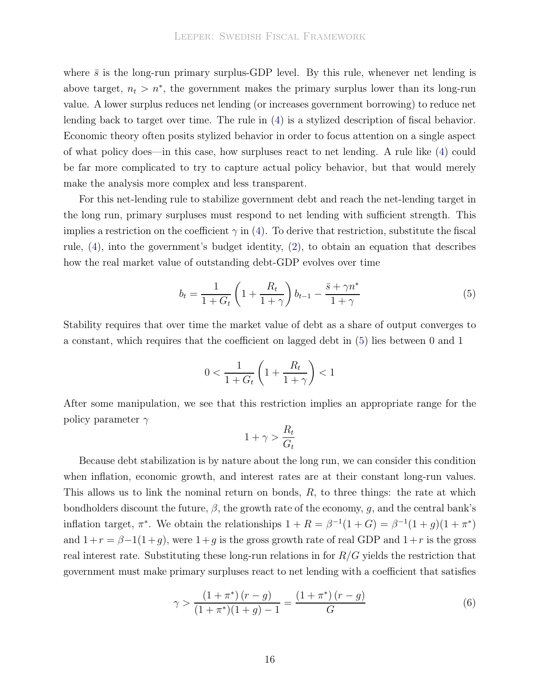where  $\bar{s}$  is the long-run primary surplus-GDP level. By this rule, whenever net lending is above target,  $n_t > n^*$ , the government makes the primary surplus lower than its long-run value. A lower surplus reduces net lending (or increases government borrowing) to reduce net lending back to target over time. The rule in [\(4\)](#page-17-1) is a stylized description of fiscal behavior. Economic theory often posits stylized behavior in order to focus attention on a single aspect of what policy does—in this case, how surpluses react to net lending. A rule like [\(4\)](#page-17-1) could be far more complicated to try to capture actual policy behavior, but that would merely make the analysis more complex and less transparent.

For this net-lending rule to stabilize government debt and reach the net-lending target in the long run, primary surpluses must respond to net lending with sufficient strength. This implies a restriction on the coefficient  $\gamma$  in [\(4\)](#page-17-1). To derive that restriction, substitute the fiscal rule, [\(4\)](#page-17-1), into the government's budget identity, [\(2\)](#page-16-2), to obtain an equation that describes how the real market value of outstanding debt-GDP evolves over time

<span id="page-18-0"></span>
$$
b_t = \frac{1}{1 + G_t} \left( 1 + \frac{R_t}{1 + \gamma} \right) b_{t-1} - \frac{\bar{s} + \gamma n^*}{1 + \gamma}
$$
 (5)

Stability requires that over time the market value of debt as a share of output converges to a constant, which requires that the coefficient on lagged debt in [\(5\)](#page-18-0) lies between 0 and 1

$$
0 < \frac{1}{1 + G_t} \left( 1 + \frac{R_t}{1 + \gamma} \right) < 1
$$

After some manipulation, we see that this restriction implies an appropriate range for the policy parameter  $\gamma$ 

$$
1 + \gamma > \frac{R_t}{G_t}
$$

Because debt stabilization is by nature about the long run, we can consider this condition when inflation, economic growth, and interest rates are at their constant long-run values. This allows us to link the nominal return on bonds, R, to three things: the rate at which bondholders discount the future,  $\beta$ , the growth rate of the economy, g, and the central bank's inflation target,  $\pi^*$ . We obtain the relationships  $1 + R = \beta^{-1}(1+G) = \beta^{-1}(1+g)(1+\pi^*)$ and  $1+r = \beta-1(1+g)$ , were  $1+g$  is the gross growth rate of real GDP and  $1+r$  is the gross real interest rate. Substituting these long-run relations in for  $R/G$  yields the restriction that government must make primary surpluses react to net lending with a coefficient that satisfies

<span id="page-18-1"></span>
$$
\gamma > \frac{(1+\pi^*)(r-g)}{(1+\pi^*)(1+g)-1} = \frac{(1+\pi^*)(r-g)}{G}
$$
\n(6)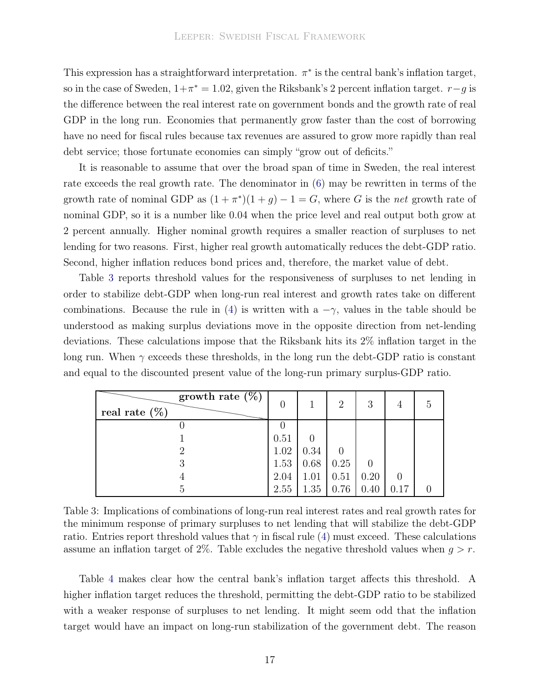This expression has a straightforward interpretation.  $\pi^*$  is the central bank's inflation target, so in the case of Sweden,  $1+\pi^* = 1.02$ , given the Riksbank's 2 percent inflation target.  $r-g$  is the difference between the real interest rate on government bonds and the growth rate of real GDP in the long run. Economies that permanently grow faster than the cost of borrowing have no need for fiscal rules because tax revenues are assured to grow more rapidly than real debt service; those fortunate economies can simply "grow out of deficits."

It is reasonable to assume that over the broad span of time in Sweden, the real interest rate exceeds the real growth rate. The denominator in [\(6\)](#page-18-1) may be rewritten in terms of the growth rate of nominal GDP as  $(1 + \pi^*)(1 + g) - 1 = G$ , where G is the net growth rate of nominal GDP, so it is a number like 0.04 when the price level and real output both grow at 2 percent annually. Higher nominal growth requires a smaller reaction of surpluses to net lending for two reasons. First, higher real growth automatically reduces the debt-GDP ratio. Second, higher inflation reduces bond prices and, therefore, the market value of debt.

Table [3](#page-19-0) reports threshold values for the responsiveness of surpluses to net lending in order to stabilize debt-GDP when long-run real interest and growth rates take on different combinations. Because the rule in [\(4\)](#page-17-1) is written with a  $-\gamma$ , values in the table should be understood as making surplus deviations move in the opposite direction from net-lending deviations. These calculations impose that the Riksbank hits its 2% inflation target in the long run. When  $\gamma$  exceeds these thresholds, in the long run the debt-GDP ratio is constant and equal to the discounted present value of the long-run primary surplus-GDP ratio.

<span id="page-19-0"></span>

| growth rate $(\%)$<br>real rate $(\%)$ | $\overline{0}$ |      | $\overline{2}$ | 3    |      | 5 |
|----------------------------------------|----------------|------|----------------|------|------|---|
|                                        | ( )            |      |                |      |      |   |
|                                        | 0.51           |      |                |      |      |   |
|                                        | 1.02           | 0.34 |                |      |      |   |
| 3                                      | 1.53           | 0.68 | 0.25           |      |      |   |
|                                        | 2.04           | 1.01 | 0.51           | 0.20 |      |   |
| 5                                      | 2.55           | 1.35 | 0.76           | 0.40 | 0.17 |   |

Table 3: Implications of combinations of long-run real interest rates and real growth rates for the minimum response of primary surpluses to net lending that will stabilize the debt-GDP ratio. Entries report threshold values that  $\gamma$  in fiscal rule [\(4\)](#page-17-1) must exceed. These calculations assume an inflation target of 2%. Table excludes the negative threshold values when  $q > r$ .

Table [4](#page-20-0) makes clear how the central bank's inflation target affects this threshold. A higher inflation target reduces the threshold, permitting the debt-GDP ratio to be stabilized with a weaker response of surpluses to net lending. It might seem odd that the inflation target would have an impact on long-run stabilization of the government debt. The reason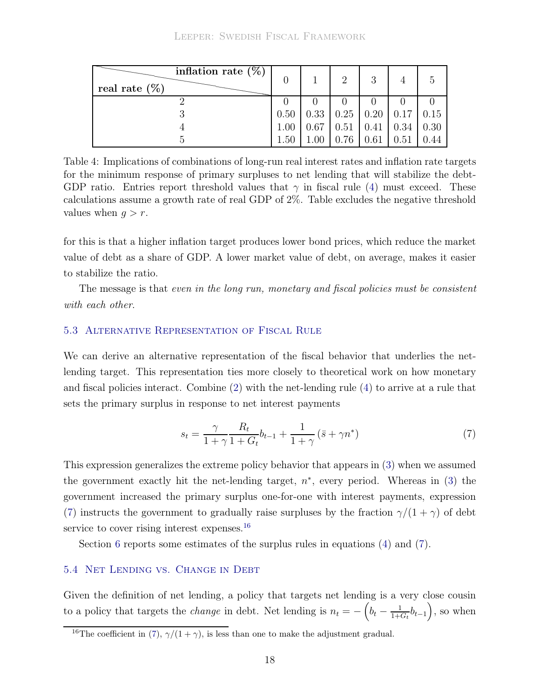#### Leeper: Swedish Fiscal Framework

<span id="page-20-0"></span>

| inflation rate $(\%)$<br>real rate $(\%)$ |      |      | $\mathcal{D}_{\mathcal{L}}$ | 3                          |      |      |
|-------------------------------------------|------|------|-----------------------------|----------------------------|------|------|
|                                           |      |      |                             |                            |      |      |
|                                           | 0.50 | 0.33 |                             | $0.25 \mid 0.20 \mid 0.17$ |      | 0.15 |
|                                           | 1.00 | 0.67 | 0.51                        | 0.41                       | 0.34 | 0.30 |
|                                           | 1.50 |      | 0.76                        | 0.61                       | 0.51 |      |

Table 4: Implications of combinations of long-run real interest rates and inflation rate targets for the minimum response of primary surpluses to net lending that will stabilize the debt-GDP ratio. Entries report threshold values that  $\gamma$  in fiscal rule [\(4\)](#page-17-1) must exceed. These calculations assume a growth rate of real GDP of 2%. Table excludes the negative threshold values when  $q > r$ .

for this is that a higher inflation target produces lower bond prices, which reduce the market value of debt as a share of GDP. A lower market value of debt, on average, makes it easier to stabilize the ratio.

The message is that even in the long run, monetary and fiscal policies must be consistent with each other.

#### 5.3 Alternative Representation of Fiscal Rule

We can derive an alternative representation of the fiscal behavior that underlies the netlending target. This representation ties more closely to theoretical work on how monetary and fiscal policies interact. Combine [\(2\)](#page-16-2) with the net-lending rule [\(4\)](#page-17-1) to arrive at a rule that sets the primary surplus in response to net interest payments

<span id="page-20-1"></span>
$$
s_t = \frac{\gamma}{1+\gamma} \frac{R_t}{1+G_t} b_{t-1} + \frac{1}{1+\gamma} (\bar{s} + \gamma n^*)
$$
\n<sup>(7)</sup>

This expression generalizes the extreme policy behavior that appears in [\(3\)](#page-17-0) when we assumed the government exactly hit the net-lending target,  $n^*$ , every period. Whereas in [\(3\)](#page-17-0) the government increased the primary surplus one-for-one with interest payments, expression [\(7\)](#page-20-1) instructs the government to gradually raise surpluses by the fraction  $\gamma/(1+\gamma)$  of debt service to cover rising interest expenses.<sup>[16](#page-20-2)</sup>

<span id="page-20-3"></span>Section [6](#page-23-0) reports some estimates of the surplus rules in equations [\(4\)](#page-17-1) and [\(7\)](#page-20-1).

#### 5.4 Net Lending vs. Change in Debt

Given the definition of net lending, a policy that targets net lending is a very close cousin to a policy that targets the *change* in debt. Net lending is  $n_t = -\left(b_t - \frac{1}{1+t}\right)$  $\frac{1}{1+G_t}b_{t-1}\big),$  so when

<span id="page-20-2"></span><sup>&</sup>lt;sup>16</sup>The coefficient in [\(7\)](#page-20-1),  $\gamma/(1+\gamma)$ , is less than one to make the adjustment gradual.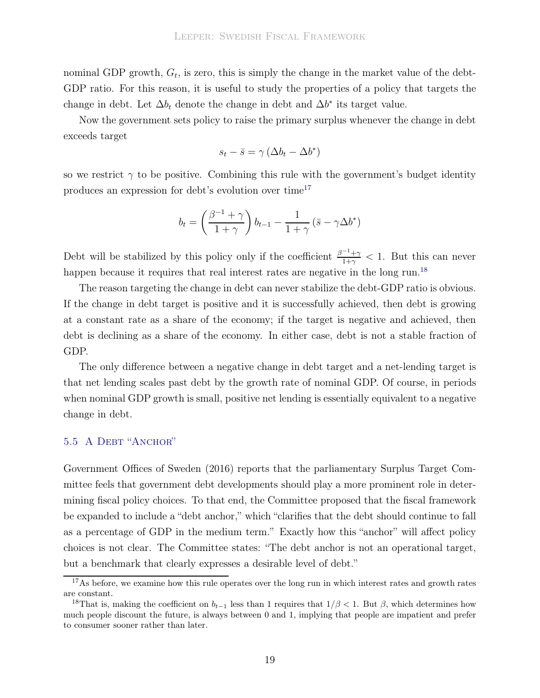nominal GDP growth,  $G_t$ , is zero, this is simply the change in the market value of the debt-GDP ratio. For this reason, it is useful to study the properties of a policy that targets the change in debt. Let  $\Delta b_t$  denote the change in debt and  $\Delta b^*$  its target value.

Now the government sets policy to raise the primary surplus whenever the change in debt exceeds target

$$
s_t - \bar{s} = \gamma \left(\Delta b_t - \Delta b^*\right)
$$

so we restrict  $\gamma$  to be positive. Combining this rule with the government's budget identity produces an expression for debt's evolution over time<sup>[17](#page-21-0)</sup>

$$
b_t = \left(\frac{\beta^{-1} + \gamma}{1 + \gamma}\right) b_{t-1} - \frac{1}{1 + \gamma} \left(\bar{s} - \gamma \Delta b^*\right)
$$

Debt will be stabilized by this policy only if the coefficient  $\frac{\beta^{-1}+\gamma}{1+\gamma}$  $\frac{1+\gamma}{1+\gamma}$  < 1. But this can never happen because it requires that real interest rates are negative in the long run.<sup>[18](#page-21-1)</sup>

The reason targeting the change in debt can never stabilize the debt-GDP ratio is obvious. If the change in debt target is positive and it is successfully achieved, then debt is growing at a constant rate as a share of the economy; if the target is negative and achieved, then debt is declining as a share of the economy. In either case, debt is not a stable fraction of GDP.

The only difference between a negative change in debt target and a net-lending target is that net lending scales past debt by the growth rate of nominal GDP. Of course, in periods when nominal GDP growth is small, positive net lending is essentially equivalent to a negative change in debt.

## 5.5 A DEBT "ANCHOR"

Government Offices of Sweden [\(2016\)](#page-36-11) reports that the parliamentary Surplus Target Committee feels that government debt developments should play a more prominent role in determining fiscal policy choices. To that end, the Committee proposed that the fiscal framework be expanded to include a "debt anchor," which "clarifies that the debt should continue to fall as a percentage of GDP in the medium term." Exactly how this "anchor" will affect policy choices is not clear. The Committee states: "The debt anchor is not an operational target, but a benchmark that clearly expresses a desirable level of debt."

<span id="page-21-0"></span><sup>&</sup>lt;sup>17</sup>As before, we examine how this rule operates over the long run in which interest rates and growth rates are constant.

<span id="page-21-1"></span><sup>&</sup>lt;sup>18</sup>That is, making the coefficient on  $b_{t-1}$  less than 1 requires that  $1/\beta < 1$ . But  $\beta$ , which determines how much people discount the future, is always between 0 and 1, implying that people are impatient and prefer to consumer sooner rather than later.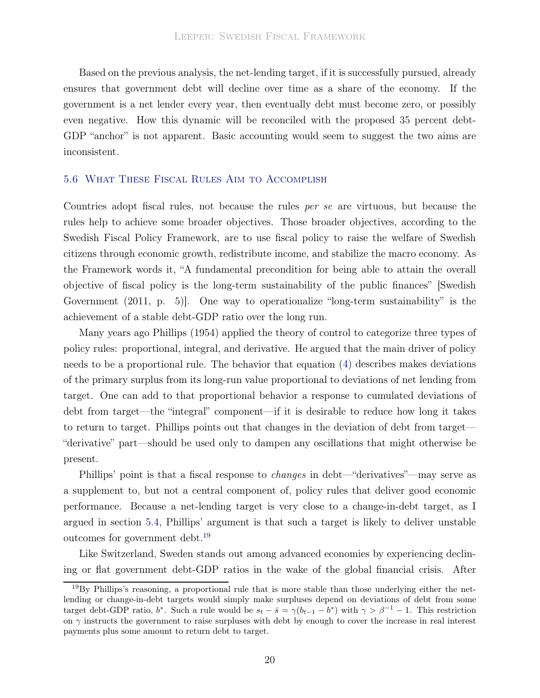Based on the previous analysis, the net-lending target, if it is successfully pursued, already ensures that government debt will decline over time as a share of the economy. If the government is a net lender every year, then eventually debt must become zero, or possibly even negative. How this dynamic will be reconciled with the proposed 35 percent debt-GDP "anchor" is not apparent. Basic accounting would seem to suggest the two aims are inconsistent.

#### 5.6 What These Fiscal Rules Aim to Accomplish

Countries adopt fiscal rules, not because the rules per se are virtuous, but because the rules help to achieve some broader objectives. Those broader objectives, according to the Swedish Fiscal Policy Framework, are to use fiscal policy to raise the welfare of Swedish citizens through economic growth, redistribute income, and stabilize the macro economy. As the Framework words it, "A fundamental precondition for being able to attain the overall objective of [fiscal policy is the long-term sustainability of the public finances" \[](#page-38-12)Swedish Government [\(2011](#page-38-12), p. 5)]. One way to operationalize "long-term sustainability" is the achievement of a stable debt-GDP ratio over the long run.

Many years ago [Phillips \(1954\)](#page-38-0) applied the theory of control to categorize three types of policy rules: proportional, integral, and derivative. He argued that the main driver of policy needs to be a proportional rule. The behavior that equation [\(4\)](#page-17-1) describes makes deviations of the primary surplus from its long-run value proportional to deviations of net lending from target. One can add to that proportional behavior a response to cumulated deviations of debt from target—the "integral" component—if it is desirable to reduce how long it takes to return to target. Phillips points out that changes in the deviation of debt from target— "derivative" part—should be used only to dampen any oscillations that might otherwise be present.

Phillips' point is that a fiscal response to *changes* in debt—"derivatives"—may serve as a supplement to, but not a central component of, policy rules that deliver good economic performance. Because a net-lending target is very close to a change-in-debt target, as I argued in section [5.4,](#page-20-3) Phillips' argument is that such a target is likely to deliver unstable outcomes for government debt.[19](#page-22-0)

Like Switzerland, Sweden stands out among advanced economies by experiencing declining or flat government debt-GDP ratios in the wake of the global financial crisis. After

<span id="page-22-0"></span><sup>&</sup>lt;sup>19</sup>By Phillips's reasoning, a proportional rule that is more stable than those underlying either the netlending or change-in-debt targets would simply make surpluses depend on deviations of debt from some target debt-GDP ratio, b<sup>\*</sup>. Such a rule would be  $s_t - \bar{s} = \gamma(b_{t-1} - b^*)$  with  $\gamma > \beta^{-1} - 1$ . This restriction on  $\gamma$  instructs the government to raise surpluses with debt by enough to cover the increase in real interest payments plus some amount to return debt to target.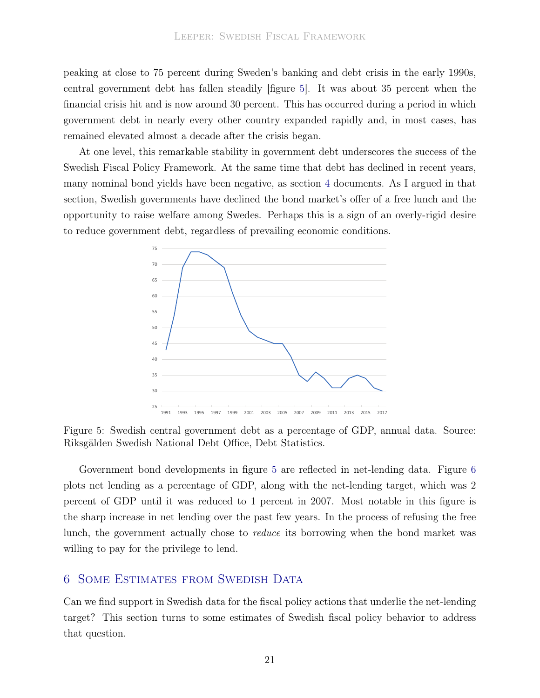peaking at close to 75 percent during Sweden's banking and debt crisis in the early 1990s, central government debt has fallen steadily [figure [5\]](#page-23-1). It was about 35 percent when the financial crisis hit and is now around 30 percent. This has occurred during a period in which government debt in nearly every other country expanded rapidly and, in most cases, has remained elevated almost a decade after the crisis began.

At one level, this remarkable stability in government debt underscores the success of the Swedish Fiscal Policy Framework. At the same time that debt has declined in recent years, many nominal bond yields have been negative, as section [4](#page-12-1) documents. As I argued in that section, Swedish governments have declined the bond market's offer of a free lunch and the opportunity to raise welfare among Swedes. Perhaps this is a sign of an overly-rigid desire to reduce government debt, regardless of prevailing economic conditions.

<span id="page-23-1"></span>

Figure 5: Swedish central government debt as a percentage of GDP, annual data. Source: Riksgälden Swedish National Debt Office, Debt Statistics.

Government bond developments in figure [5](#page-23-1) are reflected in net-lending data. Figure [6](#page-24-0) plots net lending as a percentage of GDP, along with the net-lending target, which was 2 percent of GDP until it was reduced to 1 percent in 2007. Most notable in this figure is the sharp increase in net lending over the past few years. In the process of refusing the free lunch, the government actually chose to reduce its borrowing when the bond market was willing to pay for the privilege to lend.

## <span id="page-23-0"></span>6 Some Estimates from Swedish Data

Can we find support in Swedish data for the fiscal policy actions that underlie the net-lending target? This section turns to some estimates of Swedish fiscal policy behavior to address that question.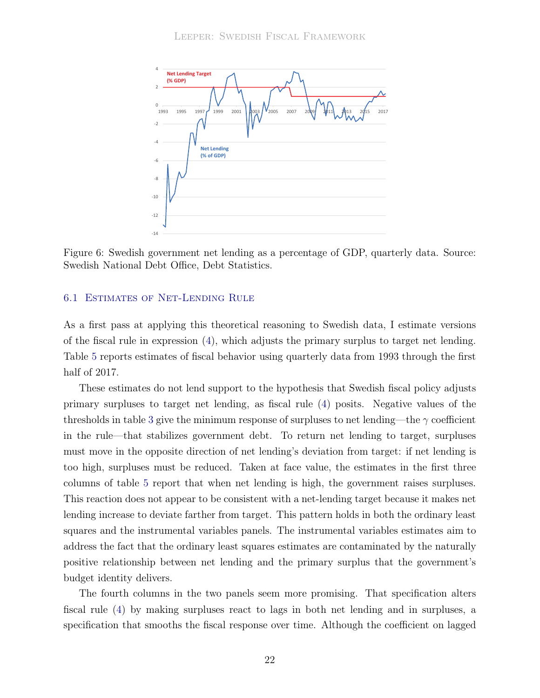<span id="page-24-0"></span>

Figure 6: Swedish government net lending as a percentage of GDP, quarterly data. Source: Swedish National Debt Office, Debt Statistics.

#### 6.1 Estimates of Net-Lending Rule

As a first pass at applying this theoretical reasoning to Swedish data, I estimate versions of the fiscal rule in expression  $(4)$ , which adjusts the primary surplus to target net lending. Table [5](#page-25-0) reports estimates of fiscal behavior using quarterly data from 1993 through the first half of 2017.

These estimates do not lend support to the hypothesis that Swedish fiscal policy adjusts primary surpluses to target net lending, as fiscal rule [\(4\)](#page-17-1) posits. Negative values of the thresholds in table [3](#page-19-0) give the minimum response of surpluses to net lending—the  $\gamma$  coefficient in the rule—that stabilizes government debt. To return net lending to target, surpluses must move in the opposite direction of net lending's deviation from target: if net lending is too high, surpluses must be reduced. Taken at face value, the estimates in the first three columns of table [5](#page-25-0) report that when net lending is high, the government raises surpluses. This reaction does not appear to be consistent with a net-lending target because it makes net lending increase to deviate farther from target. This pattern holds in both the ordinary least squares and the instrumental variables panels. The instrumental variables estimates aim to address the fact that the ordinary least squares estimates are contaminated by the naturally positive relationship between net lending and the primary surplus that the government's budget identity delivers.

The fourth columns in the two panels seem more promising. That specification alters fiscal rule [\(4\)](#page-17-1) by making surpluses react to lags in both net lending and in surpluses, a specification that smooths the fiscal response over time. Although the coefficient on lagged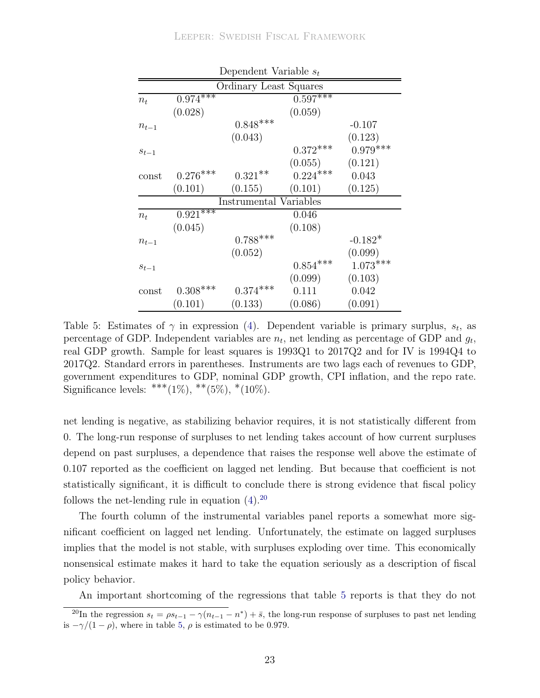<span id="page-25-0"></span>

| Dependent Variable $s_t$ |            |                        |            |            |  |
|--------------------------|------------|------------------------|------------|------------|--|
| Ordinary Least Squares   |            |                        |            |            |  |
| $n_{t}$                  | $0.974***$ |                        | $0.597***$ |            |  |
|                          | (0.028)    |                        | (0.059)    |            |  |
| $n_{t-1}$                |            | $0.848***$             |            | $-0.107$   |  |
|                          |            | (0.043)                |            | (0.123)    |  |
| $s_{t-1}$                |            |                        | $0.372***$ | $0.979***$ |  |
|                          |            |                        | (0.055)    | (0.121)    |  |
| $\mathrm{const}$         | $0.276***$ | $0.321**$              | $0.224***$ | 0.043      |  |
|                          | (0.101)    | (0.155)                | (0.101)    | (0.125)    |  |
|                          |            | Instrumental Variables |            |            |  |
| $n_{t}$                  | $0.921***$ |                        | 0.046      |            |  |
|                          | (0.045)    |                        | (0.108)    |            |  |
| $n_{t-1}$                |            | $0.788***$             |            | $-0.182*$  |  |
|                          |            | (0.052)                |            | (0.099)    |  |
| $s_{t-1}$                |            |                        | $0.854***$ | $1.073***$ |  |
|                          |            |                        | (0.099)    | (0.103)    |  |
| $\mathrm{const}$         | $0.308***$ | $0.374***$             | 0.111      | 0.042      |  |
|                          | (0.101)    | (0.133)                | (0.086)    | (0.091)    |  |

Table 5: Estimates of  $\gamma$  in expression [\(4\)](#page-17-1). Dependent variable is primary surplus,  $s_t$ , as percentage of GDP. Independent variables are  $n_t$ , net lending as percentage of GDP and  $g_t$ , real GDP growth. Sample for least squares is 1993Q1 to 2017Q2 and for IV is 1994Q4 to 2017Q2. Standard errors in parentheses. Instruments are two lags each of revenues to GDP, government expenditures to GDP, nominal GDP growth, CPI inflation, and the repo rate. Significance levels: \*\*\* $(1\%)$ , \*\* $(5\%)$ , \* $(10\%)$ .

net lending is negative, as stabilizing behavior requires, it is not statistically different from 0. The long-run response of surpluses to net lending takes account of how current surpluses depend on past surpluses, a dependence that raises the response well above the estimate of 0.107 reported as the coefficient on lagged net lending. But because that coefficient is not statistically significant, it is difficult to conclude there is strong evidence that fiscal policy follows the net-lending rule in equation  $(4).^{20}$  $(4).^{20}$  $(4).^{20}$ 

The fourth column of the instrumental variables panel reports a somewhat more significant coefficient on lagged net lending. Unfortunately, the estimate on lagged surpluses implies that the model is not stable, with surpluses exploding over time. This economically nonsensical estimate makes it hard to take the equation seriously as a description of fiscal policy behavior.

An important shortcoming of the regressions that table [5](#page-25-0) reports is that they do not

<span id="page-25-1"></span><sup>&</sup>lt;sup>20</sup>In the regression  $s_t = \rho s_{t-1} - \gamma (n_{t-1} - n^*) + \bar{s}$ , the long-run response of surpluses to past net lending is  $-\gamma/(1-\rho)$ , where in table [5,](#page-25-0)  $\rho$  is estimated to be 0.979.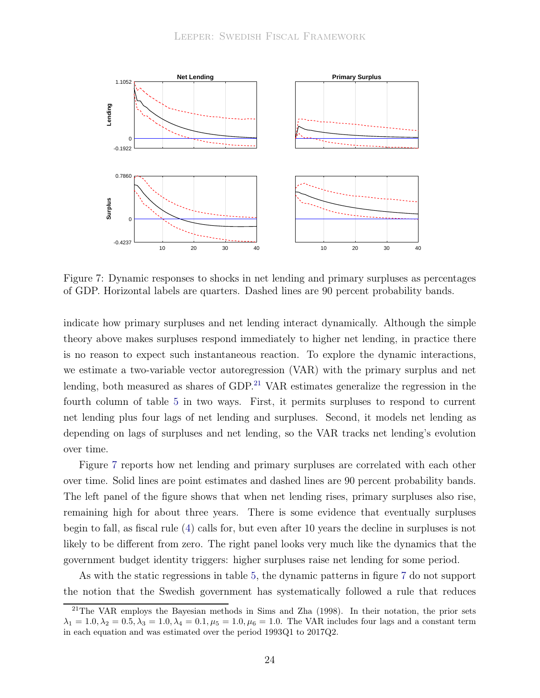<span id="page-26-1"></span>

Figure 7: Dynamic responses to shocks in net lending and primary surpluses as percentages of GDP. Horizontal labels are quarters. Dashed lines are 90 percent probability bands.

indicate how primary surpluses and net lending interact dynamically. Although the simple theory above makes surpluses respond immediately to higher net lending, in practice there is no reason to expect such instantaneous reaction. To explore the dynamic interactions, we estimate a two-variable vector autoregression (VAR) with the primary surplus and net lending, both measured as shares of  $GDP<sup>21</sup> VAR estimates generalize the regression in the$  $GDP<sup>21</sup> VAR estimates generalize the regression in the$  $GDP<sup>21</sup> VAR estimates generalize the regression in the$ fourth column of table [5](#page-25-0) in two ways. First, it permits surpluses to respond to current net lending plus four lags of net lending and surpluses. Second, it models net lending as depending on lags of surpluses and net lending, so the VAR tracks net lending's evolution over time.

Figure [7](#page-26-1) reports how net lending and primary surpluses are correlated with each other over time. Solid lines are point estimates and dashed lines are 90 percent probability bands. The left panel of the figure shows that when net lending rises, primary surpluses also rise, remaining high for about three years. There is some evidence that eventually surpluses begin to fall, as fiscal rule [\(4\)](#page-17-1) calls for, but even after 10 years the decline in surpluses is not likely to be different from zero. The right panel looks very much like the dynamics that the government budget identity triggers: higher surpluses raise net lending for some period.

As with the static regressions in table [5,](#page-25-0) the dynamic patterns in figure [7](#page-26-1) do not support the notion that the Swedish government has systematically followed a rule that reduces

<span id="page-26-0"></span><sup>&</sup>lt;sup>21</sup>The VAR employs the Bayesian methods in [Sims and Zha \(1998\)](#page-38-13). In their notation, the prior sets  $\lambda_1 = 1.0, \lambda_2 = 0.5, \lambda_3 = 1.0, \lambda_4 = 0.1, \mu_5 = 1.0, \mu_6 = 1.0$ . The VAR includes four lags and a constant term in each equation and was estimated over the period 1993Q1 to 2017Q2.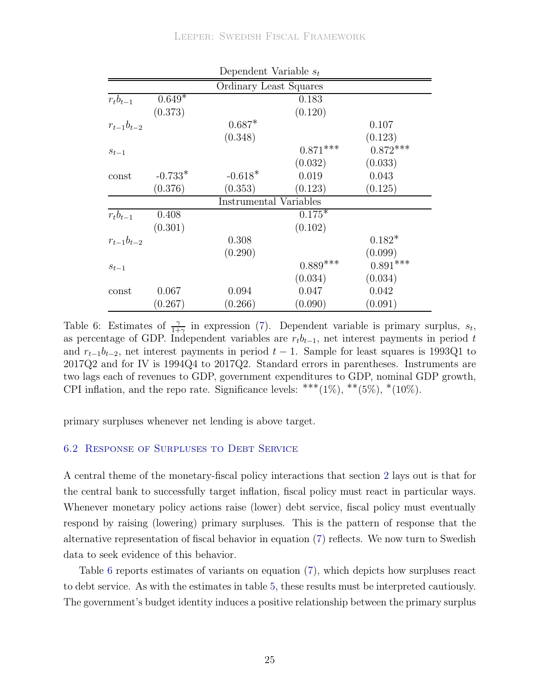<span id="page-27-0"></span>

|                  |           | Dependent Variable $s_t$ |            |            |
|------------------|-----------|--------------------------|------------|------------|
|                  |           | Ordinary Least Squares   |            |            |
| $r_t b_{t-1}$    | $0.649*$  | 0.183                    |            |            |
|                  | (0.373)   |                          | (0.120)    |            |
| $r_{t-1}b_{t-2}$ |           | $0.687*$                 |            | 0.107      |
|                  |           | (0.348)                  |            | (0.123)    |
| $s_{t-1}$        |           |                          | $0.871***$ | $0.872***$ |
|                  |           |                          | (0.032)    | (0.033)    |
| const            | $-0.733*$ | $-0.618*$                | 0.019      | 0.043      |
|                  | (0.376)   | (0.353)                  | (0.123)    | (0.125)    |
|                  |           | Instrumental Variables   |            |            |
| $r_t b_{t-1}$    | 0.408     |                          | $0.175*$   |            |
|                  | (0.301)   |                          | (0.102)    |            |
| $r_{t-1}b_{t-2}$ |           | 0.308                    |            | $0.182*$   |
|                  |           | (0.290)                  |            | (0.099)    |
| $s_{t-1}$        |           |                          | $0.889***$ | $0.891***$ |
|                  |           |                          | (0.034)    | (0.034)    |
| const            | 0.067     | 0.094                    | 0.047      | 0.042      |
|                  | (0.267)   | (0.266)                  | (0.090)    | (0.091)    |

Table 6: Estimates of  $\frac{\gamma}{1+\gamma}$  in expression [\(7\)](#page-20-1). Dependent variable is primary surplus,  $s_t$ , as percentage of GDP. Independent variables are  $r_t b_{t-1}$ , net interest payments in period t and  $r_{t-1}b_{t-2}$ , net interest payments in period  $t-1$ . Sample for least squares is 1993Q1 to 2017Q2 and for IV is 1994Q4 to 2017Q2. Standard errors in parentheses. Instruments are two lags each of revenues to GDP, government expenditures to GDP, nominal GDP growth, CPI inflation, and the repo rate. Significance levels: \*\*\* $(1\%)$ , \*\* $(5\%)$ , \* $(10\%)$ .

primary surpluses whenever net lending is above target.

#### 6.2 Response of Surpluses to Debt Service

A central theme of the monetary-fiscal policy interactions that section [2](#page-4-0) lays out is that for the central bank to successfully target inflation, fiscal policy must react in particular ways. Whenever monetary policy actions raise (lower) debt service, fiscal policy must eventually respond by raising (lowering) primary surpluses. This is the pattern of response that the alternative representation of fiscal behavior in equation [\(7\)](#page-20-1) reflects. We now turn to Swedish data to seek evidence of this behavior.

Table [6](#page-27-0) reports estimates of variants on equation [\(7\)](#page-20-1), which depicts how surpluses react to debt service. As with the estimates in table [5,](#page-25-0) these results must be interpreted cautiously. The government's budget identity induces a positive relationship between the primary surplus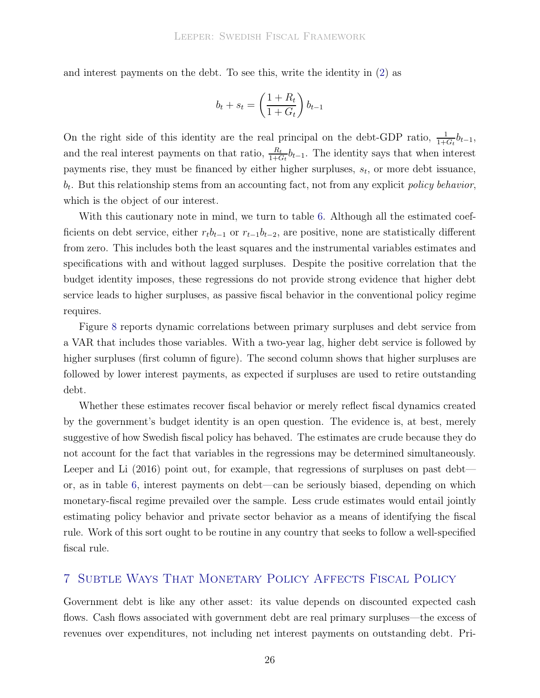and interest payments on the debt. To see this, write the identity in [\(2\)](#page-16-2) as

$$
b_t + s_t = \left(\frac{1 + R_t}{1 + G_t}\right) b_{t-1}
$$

On the right side of this identity are the real principal on the debt-GDP ratio,  $\frac{1}{1+G_t}b_{t-1}$ , and the real interest payments on that ratio,  $\frac{R_t}{1+G_t}b_{t-1}$ . The identity says that when interest payments rise, they must be financed by either higher surpluses,  $s_t$ , or more debt issuance,  $b_t$ . But this relationship stems from an accounting fact, not from any explicit *policy behavior*, which is the object of our interest.

With this cautionary note in mind, we turn to table [6.](#page-27-0) Although all the estimated coefficients on debt service, either  $r_t b_{t-1}$  or  $r_{t-1} b_{t-2}$ , are positive, none are statistically different from zero. This includes both the least squares and the instrumental variables estimates and specifications with and without lagged surpluses. Despite the positive correlation that the budget identity imposes, these regressions do not provide strong evidence that higher debt service leads to higher surpluses, as passive fiscal behavior in the conventional policy regime requires.

Figure [8](#page-29-0) reports dynamic correlations between primary surpluses and debt service from a VAR that includes those variables. With a two-year lag, higher debt service is followed by higher surpluses (first column of figure). The second column shows that higher surpluses are followed by lower interest payments, as expected if surpluses are used to retire outstanding debt.

Whether these estimates recover fiscal behavior or merely reflect fiscal dynamics created by the government's budget identity is an open question. The evidence is, at best, merely suggestive of how Swedish fiscal policy has behaved. The estimates are crude because they do not account for the fact that variables in the regressions may be determined simultaneously. [Leeper and Li \(2016\)](#page-37-11) point out, for example, that regressions of surpluses on past debt or, as in table [6,](#page-27-0) interest payments on debt—can be seriously biased, depending on which monetary-fiscal regime prevailed over the sample. Less crude estimates would entail jointly estimating policy behavior and private sector behavior as a means of identifying the fiscal rule. Work of this sort ought to be routine in any country that seeks to follow a well-specified fiscal rule.

## 7 Subtle Ways That Monetary Policy Affects Fiscal Policy

Government debt is like any other asset: its value depends on discounted expected cash flows. Cash flows associated with government debt are real primary surpluses—the excess of revenues over expenditures, not including net interest payments on outstanding debt. Pri-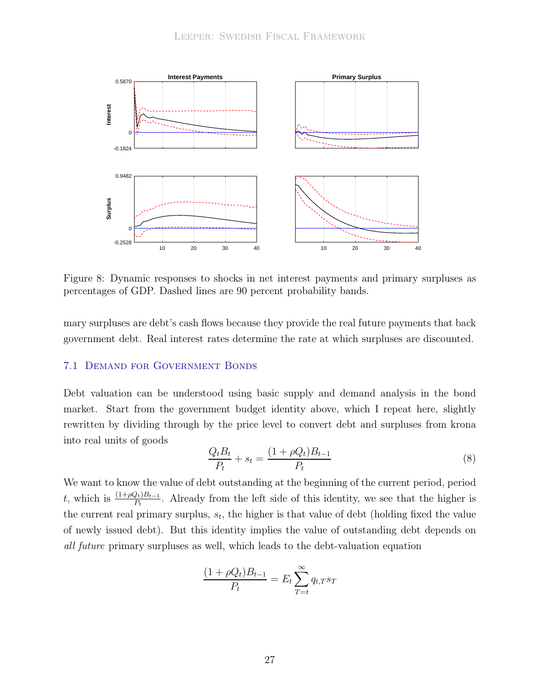<span id="page-29-0"></span>

Figure 8: Dynamic responses to shocks in net interest payments and primary surpluses as percentages of GDP. Dashed lines are 90 percent probability bands.

mary surpluses are debt's cash flows because they provide the real future payments that back government debt. Real interest rates determine the rate at which surpluses are discounted.

#### 7.1 Demand for Government Bonds

Debt valuation can be understood using basic supply and demand analysis in the bond market. Start from the government budget identity above, which I repeat here, slightly rewritten by dividing through by the price level to convert debt and surpluses from krona into real units of goods

<span id="page-29-1"></span>
$$
\frac{Q_t B_t}{P_t} + s_t = \frac{(1 + \rho Q_t) B_{t-1}}{P_t}
$$
\n(8)

We want to know the value of debt outstanding at the beginning of the current period, period t, which is  $\frac{(1+\rho Q_t)B_{t-1}}{P_t}$ . Already from the left side of this identity, we see that the higher is the current real primary surplus,  $s_t$ , the higher is that value of debt (holding fixed the value of newly issued debt). But this identity implies the value of outstanding debt depends on all future primary surpluses as well, which leads to the debt-valuation equation

$$
\frac{(1+\rho Q_t)B_{t-1}}{P_t} = E_t \sum_{T=t}^{\infty} q_{t,T} s_T
$$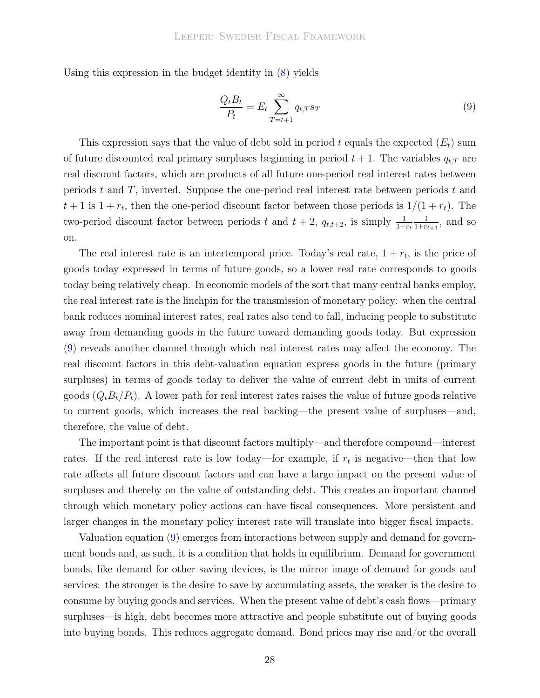Using this expression in the budget identity in [\(8\)](#page-29-1) yields

<span id="page-30-0"></span>
$$
\frac{Q_t B_t}{P_t} = E_t \sum_{T=t+1}^{\infty} q_{t,T} s_T \tag{9}
$$

This expression says that the value of debt sold in period t equals the expected  $(E_t)$  sum of future discounted real primary surpluses beginning in period  $t + 1$ . The variables  $q_{t,T}$  are real discount factors, which are products of all future one-period real interest rates between periods t and T, inverted. Suppose the one-period real interest rate between periods t and  $t+1$  is  $1+r_t$ , then the one-period discount factor between those periods is  $1/(1+r_t)$ . The two-period discount factor between periods t and  $t + 2$ ,  $q_{t,t+2}$ , is simply  $\frac{1}{1+r_t}$ 1  $\frac{1}{1+r_{t+1}},$  and so on.

The real interest rate is an intertemporal price. Today's real rate,  $1 + r_t$ , is the price of goods today expressed in terms of future goods, so a lower real rate corresponds to goods today being relatively cheap. In economic models of the sort that many central banks employ, the real interest rate is the linchpin for the transmission of monetary policy: when the central bank reduces nominal interest rates, real rates also tend to fall, inducing people to substitute away from demanding goods in the future toward demanding goods today. But expression [\(9\)](#page-30-0) reveals another channel through which real interest rates may affect the economy. The real discount factors in this debt-valuation equation express goods in the future (primary surpluses) in terms of goods today to deliver the value of current debt in units of current goods  $(Q_t B_t/P_t)$ . A lower path for real interest rates raises the value of future goods relative to current goods, which increases the real backing—the present value of surpluses—and, therefore, the value of debt.

The important point is that discount factors multiply—and therefore compound—interest rates. If the real interest rate is low today—for example, if  $r_t$  is negative—then that low rate affects all future discount factors and can have a large impact on the present value of surpluses and thereby on the value of outstanding debt. This creates an important channel through which monetary policy actions can have fiscal consequences. More persistent and larger changes in the monetary policy interest rate will translate into bigger fiscal impacts.

Valuation equation [\(9\)](#page-30-0) emerges from interactions between supply and demand for government bonds and, as such, it is a condition that holds in equilibrium. Demand for government bonds, like demand for other saving devices, is the mirror image of demand for goods and services: the stronger is the desire to save by accumulating assets, the weaker is the desire to consume by buying goods and services. When the present value of debt's cash flows—primary surpluses—is high, debt becomes more attractive and people substitute out of buying goods into buying bonds. This reduces aggregate demand. Bond prices may rise and/or the overall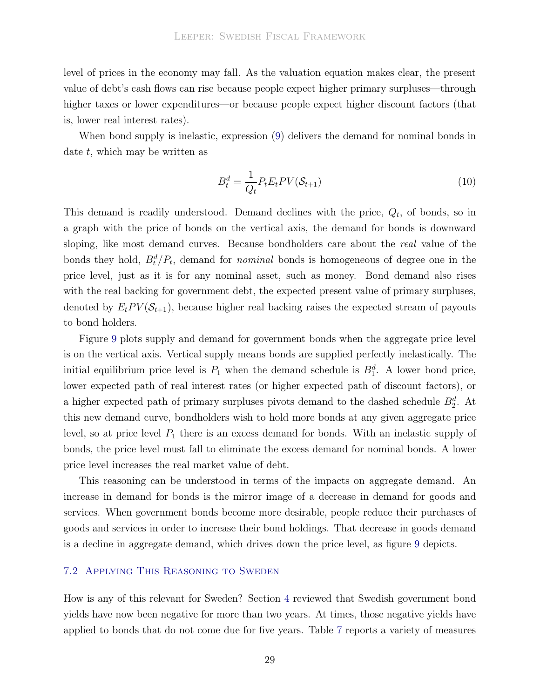level of prices in the economy may fall. As the valuation equation makes clear, the present value of debt's cash flows can rise because people expect higher primary surpluses—through higher taxes or lower expenditures—or because people expect higher discount factors (that is, lower real interest rates).

When bond supply is inelastic, expression [\(9\)](#page-30-0) delivers the demand for nominal bonds in date  $t$ , which may be written as

$$
B_t^d = \frac{1}{Q_t} P_t E_t PV(\mathcal{S}_{t+1})
$$
\n<sup>(10)</sup>

This demand is readily understood. Demand declines with the price,  $Q_t$ , of bonds, so in a graph with the price of bonds on the vertical axis, the demand for bonds is downward sloping, like most demand curves. Because bondholders care about the *real* value of the bonds they hold,  $B_t^d/P_t$ , demand for *nominal* bonds is homogeneous of degree one in the price level, just as it is for any nominal asset, such as money. Bond demand also rises with the real backing for government debt, the expected present value of primary surpluses, denoted by  $E_t PV(\mathcal{S}_{t+1})$ , because higher real backing raises the expected stream of payouts to bond holders.

Figure [9](#page-32-0) plots supply and demand for government bonds when the aggregate price level is on the vertical axis. Vertical supply means bonds are supplied perfectly inelastically. The initial equilibrium price level is  $P_1$  when the demand schedule is  $B_1^d$ . A lower bond price, lower expected path of real interest rates (or higher expected path of discount factors), or a higher expected path of primary surpluses pivots demand to the dashed schedule  $B_2^d$ . At this new demand curve, bondholders wish to hold more bonds at any given aggregate price level, so at price level  $P_1$  there is an excess demand for bonds. With an inelastic supply of bonds, the price level must fall to eliminate the excess demand for nominal bonds. A lower price level increases the real market value of debt.

This reasoning can be understood in terms of the impacts on aggregate demand. An increase in demand for bonds is the mirror image of a decrease in demand for goods and services. When government bonds become more desirable, people reduce their purchases of goods and services in order to increase their bond holdings. That decrease in goods demand is a decline in aggregate demand, which drives down the price level, as figure [9](#page-32-0) depicts.

#### 7.2 Applying This Reasoning to Sweden

How is any of this relevant for Sweden? Section [4](#page-12-1) reviewed that Swedish government bond yields have now been negative for more than two years. At times, those negative yields have applied to bonds that do not come due for five years. Table [7](#page-33-0) reports a variety of measures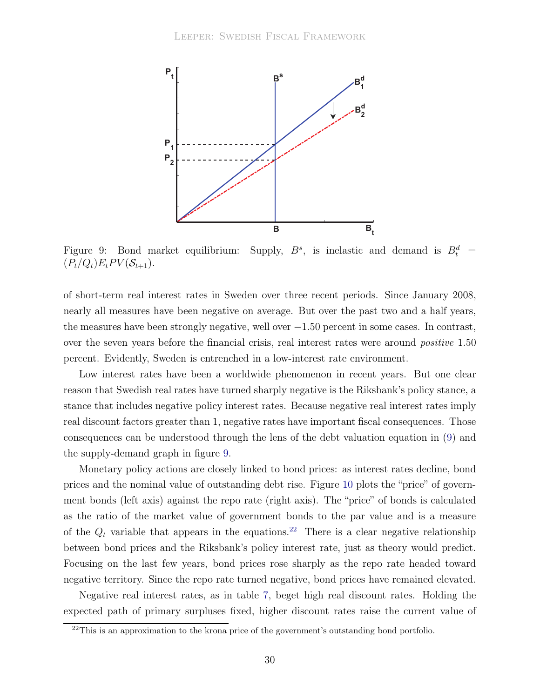<span id="page-32-0"></span>

Figure 9: Bond market equilibrium: Supply,  $B^s$ , is inelastic and demand is  $B_t^d$  =  $(P_t/Q_t)E_t PV(\mathcal{S}_{t+1}).$ 

of short-term real interest rates in Sweden over three recent periods. Since January 2008, nearly all measures have been negative on average. But over the past two and a half years, the measures have been strongly negative, well over  $-1.50$  percent in some cases. In contrast, over the seven years before the financial crisis, real interest rates were around *positive* 1.50 percent. Evidently, Sweden is entrenched in a low-interest rate environment.

Low interest rates have been a worldwide phenomenon in recent years. But one clear reason that Swedish real rates have turned sharply negative is the Riksbank's policy stance, a stance that includes negative policy interest rates. Because negative real interest rates imply real discount factors greater than 1, negative rates have important fiscal consequences. Those consequences can be understood through the lens of the debt valuation equation in [\(9\)](#page-30-0) and the supply-demand graph in figure [9.](#page-32-0)

Monetary policy actions are closely linked to bond prices: as interest rates decline, bond prices and the nominal value of outstanding debt rise. Figure [10](#page-34-0) plots the "price" of government bonds (left axis) against the repo rate (right axis). The "price" of bonds is calculated as the ratio of the market value of government bonds to the par value and is a measure of the  $Q_t$  variable that appears in the equations.<sup>[22](#page-32-1)</sup> There is a clear negative relationship between bond prices and the Riksbank's policy interest rate, just as theory would predict. Focusing on the last few years, bond prices rose sharply as the repo rate headed toward negative territory. Since the repo rate turned negative, bond prices have remained elevated.

Negative real interest rates, as in table [7,](#page-33-0) beget high real discount rates. Holding the expected path of primary surpluses fixed, higher discount rates raise the current value of

<span id="page-32-1"></span><sup>&</sup>lt;sup>22</sup>This is an approximation to the krona price of the government's outstanding bond portfolio.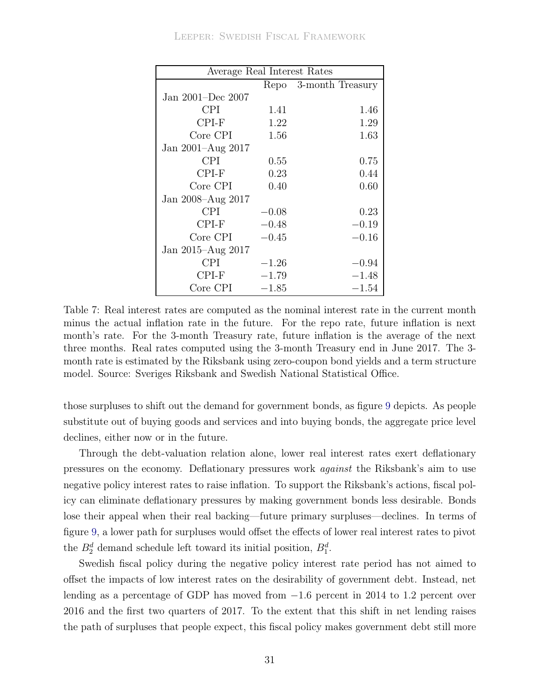<span id="page-33-0"></span>

| Average Real Interest Rates |         |                       |  |  |
|-----------------------------|---------|-----------------------|--|--|
|                             |         | Repo 3-month Treasury |  |  |
| Jan 2001–Dec 2007           |         |                       |  |  |
| <b>CPI</b>                  | 1.41    | 1.46                  |  |  |
| $CPI-F$                     | 1.22    | 1.29                  |  |  |
| Core CPI                    | 1.56    | 1.63                  |  |  |
| Jan 2001–Aug 2017           |         |                       |  |  |
| <b>CPI</b>                  | 0.55    | 0.75                  |  |  |
| $CPI-F$                     | 0.23    | 0.44                  |  |  |
| Core CPI                    | 0.40    | 0.60                  |  |  |
| Jan 2008–Aug 2017           |         |                       |  |  |
| <b>CPI</b>                  | $-0.08$ | 0.23                  |  |  |
| CPI-F                       | $-0.48$ | $-0.19$               |  |  |
| Core CPI                    | $-0.45$ | $-0.16$               |  |  |
| Jan 2015–Aug 2017           |         |                       |  |  |
| <b>CPI</b>                  | $-1.26$ | $-0.94$               |  |  |
| CPI-F                       | $-1.79$ | $-1.48$               |  |  |
| Core CPI                    | $-1.85$ | $-1.54\,$             |  |  |

Table 7: Real interest rates are computed as the nominal interest rate in the current month minus the actual inflation rate in the future. For the repo rate, future inflation is next month's rate. For the 3-month Treasury rate, future inflation is the average of the next three months. Real rates computed using the 3-month Treasury end in June 2017. The 3 month rate is estimated by the Riksbank using zero-coupon bond yields and a term structure model. Source: Sveriges Riksbank and Swedish National Statistical Office.

those surpluses to shift out the demand for government bonds, as figure [9](#page-32-0) depicts. As people substitute out of buying goods and services and into buying bonds, the aggregate price level declines, either now or in the future.

Through the debt-valuation relation alone, lower real interest rates exert deflationary pressures on the economy. Deflationary pressures work against the Riksbank's aim to use negative policy interest rates to raise inflation. To support the Riksbank's actions, fiscal policy can eliminate deflationary pressures by making government bonds less desirable. Bonds lose their appeal when their real backing—future primary surpluses—declines. In terms of figure [9,](#page-32-0) a lower path for surpluses would offset the effects of lower real interest rates to pivot the  $B_2^d$  demand schedule left toward its initial position,  $B_1^d$ .

Swedish fiscal policy during the negative policy interest rate period has not aimed to offset the impacts of low interest rates on the desirability of government debt. Instead, net lending as a percentage of GDP has moved from −1.6 percent in 2014 to 1.2 percent over 2016 and the first two quarters of 2017. To the extent that this shift in net lending raises the path of surpluses that people expect, this fiscal policy makes government debt still more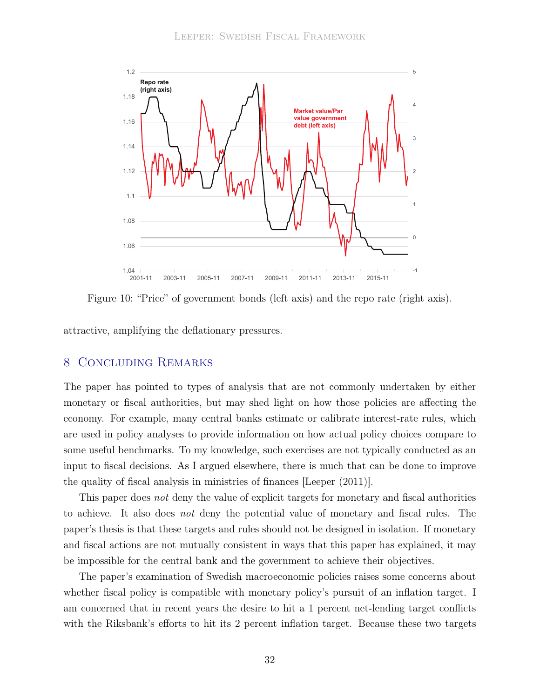<span id="page-34-0"></span>

Figure 10: "Price" of government bonds (left axis) and the repo rate (right axis).

attractive, amplifying the deflationary pressures.

## 8 Concluding Remarks

The paper has pointed to types of analysis that are not commonly undertaken by either monetary or fiscal authorities, but may shed light on how those policies are affecting the economy. For example, many central banks estimate or calibrate interest-rate rules, which are used in policy analyses to provide information on how actual policy choices compare to some useful benchmarks. To my knowledge, such exercises are not typically conducted as an input to fiscal decisions. As I argued elsewhere, there is much that can be done to improve the quality of fiscal analysis in ministries of finances [\[Leeper \(2011](#page-37-12))].

This paper does not deny the value of explicit targets for monetary and fiscal authorities to achieve. It also does not deny the potential value of monetary and fiscal rules. The paper's thesis is that these targets and rules should not be designed in isolation. If monetary and fiscal actions are not mutually consistent in ways that this paper has explained, it may be impossible for the central bank and the government to achieve their objectives.

The paper's examination of Swedish macroeconomic policies raises some concerns about whether fiscal policy is compatible with monetary policy's pursuit of an inflation target. I am concerned that in recent years the desire to hit a 1 percent net-lending target conflicts with the Riksbank's efforts to hit its 2 percent inflation target. Because these two targets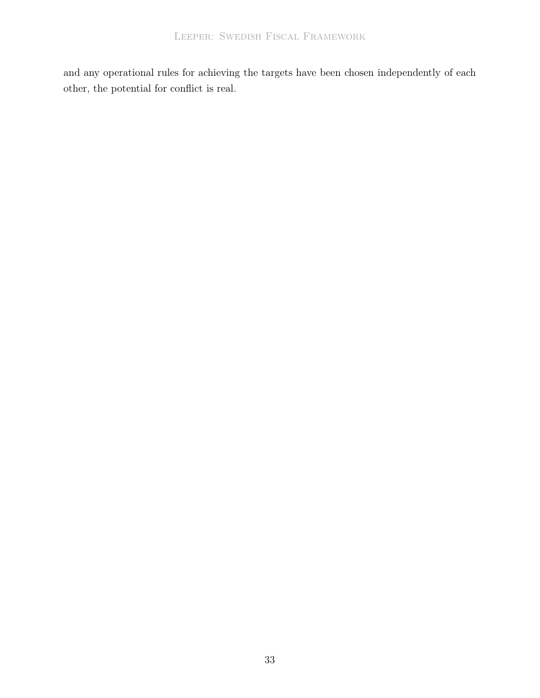and any operational rules for achieving the targets have been chosen independently of each other, the potential for conflict is real.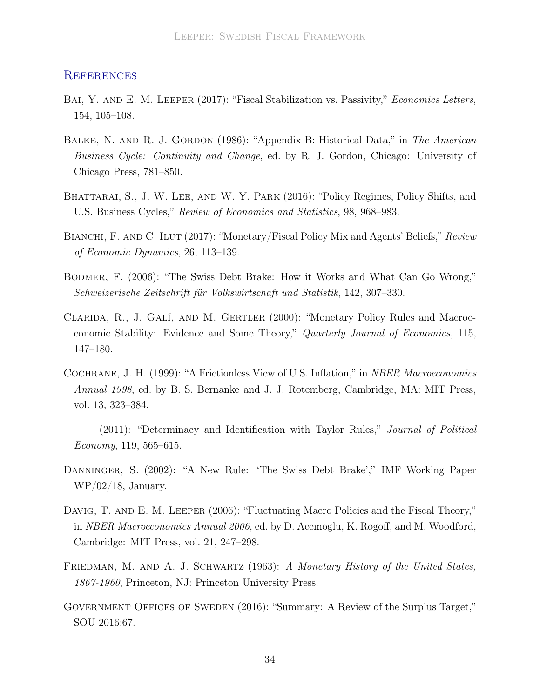#### **REFERENCES**

- <span id="page-36-8"></span>BAI, Y. AND E. M. LEEPER (2017): "Fiscal Stabilization vs. Passivity," *Economics Letters*, 154, 105–108.
- <span id="page-36-7"></span>BALKE, N. AND R. J. GORDON (1986): "Appendix B: Historical Data," in The American Business Cycle: Continuity and Change, ed. by R. J. Gordon, Chicago: University of Chicago Press, 781–850.
- <span id="page-36-4"></span>BHATTARAI, S., J. W. LEE, AND W. Y. PARK (2016): "Policy Regimes, Policy Shifts, and U.S. Business Cycles," Review of Economics and Statistics, 98, 968–983.
- <span id="page-36-5"></span>BIANCHI, F. AND C. ILUT (2017): "Monetary/Fiscal Policy Mix and Agents' Beliefs," Review of Economic Dynamics, 26, 113–139.
- <span id="page-36-10"></span>Bodmer, F. (2006): "The Swiss Debt Brake: How it Works and What Can Go Wrong," Schweizerische Zeitschrift für Volkswirtschaft und Statistik, 142, 307–330.
- <span id="page-36-2"></span>Clarida, R., J. Galí, and M. Gertler (2000): "Monetary Policy Rules and Macroeconomic Stability: Evidence and Some Theory," Quarterly Journal of Economics, 115, 147–180.
- <span id="page-36-0"></span>Cochrane, J. H. (1999): "A Frictionless View of U.S. Inflation," in NBER Macroeconomics Annual 1998, ed. by B. S. Bernanke and J. J. Rotemberg, Cambridge, MA: MIT Press, vol. 13, 323–384.
- <span id="page-36-1"></span>– (2011): "Determinacy and Identification with Taylor Rules," *Journal of Political* Economy, 119, 565–615.
- <span id="page-36-9"></span>DANNINGER, S. (2002): "A New Rule: 'The Swiss Debt Brake'," IMF Working Paper WP/02/18, January.
- <span id="page-36-3"></span>DAVIG, T. AND E. M. LEEPER (2006): "Fluctuating Macro Policies and the Fiscal Theory," in NBER Macroeconomics Annual 2006, ed. by D. Acemoglu, K. Rogoff, and M. Woodford, Cambridge: MIT Press, vol. 21, 247–298.
- <span id="page-36-6"></span>FRIEDMAN, M. AND A. J. SCHWARTZ (1963): A Monetary History of the United States, 1867-1960, Princeton, NJ: Princeton University Press.
- <span id="page-36-11"></span>GOVERNMENT OFFICES OF SWEDEN (2016): "Summary: A Review of the Surplus Target," SOU 2016:67.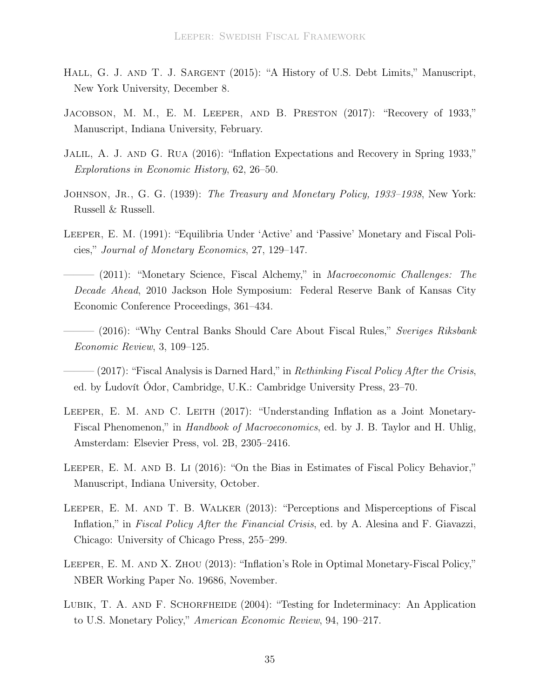- <span id="page-37-9"></span>HALL, G. J. AND T. J. SARGENT (2015): "A History of U.S. Debt Limits," Manuscript, New York University, December 8.
- <span id="page-37-6"></span>JACOBSON, M. M., E. M. LEEPER, AND B. PRESTON (2017): "Recovery of 1933," Manuscript, Indiana University, February.
- <span id="page-37-7"></span>Jalil, A. J. and G. Rua (2016): "Inflation Expectations and Recovery in Spring 1933," Explorations in Economic History, 62, 26–50.
- <span id="page-37-8"></span>JOHNSON, JR., G. G. (1939): The Treasury and Monetary Policy, 1933–1938, New York: Russell & Russell.
- <span id="page-37-0"></span>Leeper, E. M. (1991): "Equilibria Under 'Active' and 'Passive' Monetary and Fiscal Policies," Journal of Monetary Economics, 27, 129–147.
- <span id="page-37-12"></span> $-$  (2011): "Monetary Science, Fiscal Alchemy," in *Macroeconomic Challenges: The* Decade Ahead, 2010 Jackson Hole Symposium: Federal Reserve Bank of Kansas City Economic Conference Proceedings, 361–434.
- <span id="page-37-3"></span>– (2016): "Why Central Banks Should Care About Fiscal Rules," Sveriges Riksbank Economic Review, 3, 109–125.
- <span id="page-37-10"></span> $-(2017)$ : "Fiscal Analysis is Darned Hard," in *Rethinking Fiscal Policy After the Crisis*, ed. by Ĺudovít Ódor, Cambridge, U.K.: Cambridge University Press, 23–70.
- <span id="page-37-2"></span>LEEPER, E. M. AND C. LEITH (2017): "Understanding Inflation as a Joint Monetary-Fiscal Phenomenon," in Handbook of Macroeconomics, ed. by J. B. Taylor and H. Uhlig, Amsterdam: Elsevier Press, vol. 2B, 2305–2416.
- <span id="page-37-11"></span>LEEPER, E. M. AND B. LI (2016): "On the Bias in Estimates of Fiscal Policy Behavior," Manuscript, Indiana University, October.
- <span id="page-37-1"></span>Leeper, E. M. and T. B. Walker (2013): "Perceptions and Misperceptions of Fiscal Inflation," in Fiscal Policy After the Financial Crisis, ed. by A. Alesina and F. Giavazzi, Chicago: University of Chicago Press, 255–299.
- <span id="page-37-4"></span>LEEPER, E. M. AND X. ZHOU (2013): "Inflation's Role in Optimal Monetary-Fiscal Policy," NBER Working Paper No. 19686, November.
- <span id="page-37-5"></span>LUBIK, T. A. AND F. SCHORFHEIDE (2004): "Testing for Indeterminacy: An Application to U.S. Monetary Policy," American Economic Review, 94, 190–217.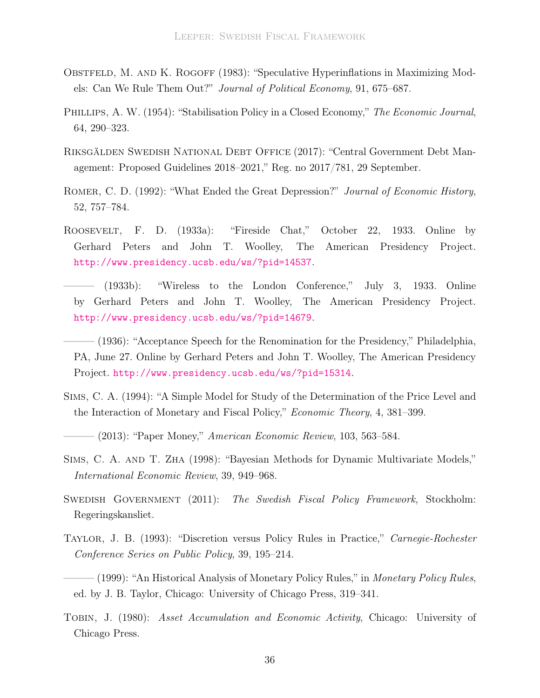- <span id="page-38-3"></span>OBSTFELD, M. AND K. ROGOFF (1983): "Speculative Hyperinflations in Maximizing Models: Can We Rule Them Out?" Journal of Political Economy, 91, 675–687.
- <span id="page-38-0"></span>PHILLIPS, A. W. (1954): "Stabilisation Policy in a Closed Economy," The Economic Journal, 64, 290–323.
- <span id="page-38-11"></span>Riksgälden Swedish National Debt Office (2017): "Central Government Debt Management: Proposed Guidelines 2018–2021," Reg. no 2017/781, 29 September.
- <span id="page-38-10"></span>ROMER, C. D. (1992): "What Ended the Great Depression?" Journal of Economic History, 52, 757–784.
- <span id="page-38-8"></span>Roosevelt, F. D. (1933a): "Fireside Chat," October 22, 1933. Online by Gerhard Peters and John T. Woolley, The American Presidency Project. <http://www.presidency.ucsb.edu/ws/?pid=14537>.
- <span id="page-38-7"></span> $(1933b):$  "Wireless to the London Conference," July 3, 1933. Online by Gerhard Peters and John T. Woolley, The American Presidency Project. <http://www.presidency.ucsb.edu/ws/?pid=14679>.
- <span id="page-38-9"></span>– (1936): "Acceptance Speech for the Renomination for the Presidency," Philadelphia, PA, June 27. Online by Gerhard Peters and John T. Woolley, The American Presidency Project. <http://www.presidency.ucsb.edu/ws/?pid=15314>.
- <span id="page-38-2"></span>Sims, C. A. (1994): "A Simple Model for Study of the Determination of the Price Level and the Interaction of Monetary and Fiscal Policy," Economic Theory, 4, 381–399.
- <span id="page-38-4"></span> $-$  (2013): "Paper Money," American Economic Review, 103, 563–584.
- <span id="page-38-13"></span>Sims, C. A. and T. Zha (1998): "Bayesian Methods for Dynamic Multivariate Models," International Economic Review, 39, 949–968.
- <span id="page-38-12"></span>SWEDISH GOVERNMENT (2011): The Swedish Fiscal Policy Framework, Stockholm: Regeringskansliet.
- <span id="page-38-1"></span>Taylor, J. B. (1993): "Discretion versus Policy Rules in Practice," Carnegie-Rochester Conference Series on Public Policy, 39, 195–214.
- <span id="page-38-5"></span> $-$  (1999): "An Historical Analysis of Monetary Policy Rules," in *Monetary Policy Rules*, ed. by J. B. Taylor, Chicago: University of Chicago Press, 319–341.
- <span id="page-38-6"></span>Tobin, J. (1980): Asset Accumulation and Economic Activity, Chicago: University of Chicago Press.